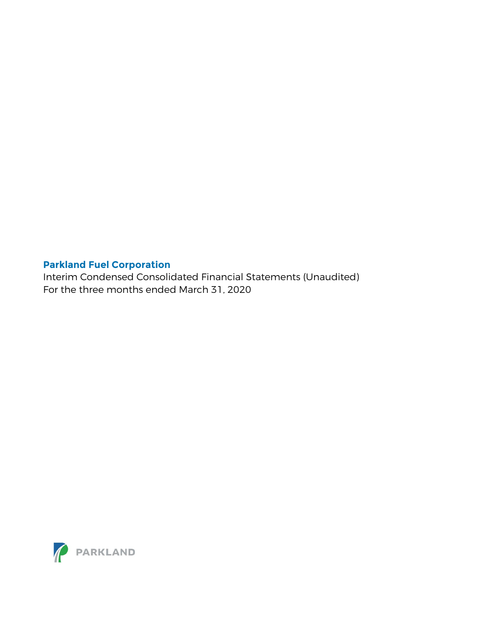Interim Condensed Consolidated Financial Statements (Unaudited) For the three months ended March 31, 2020

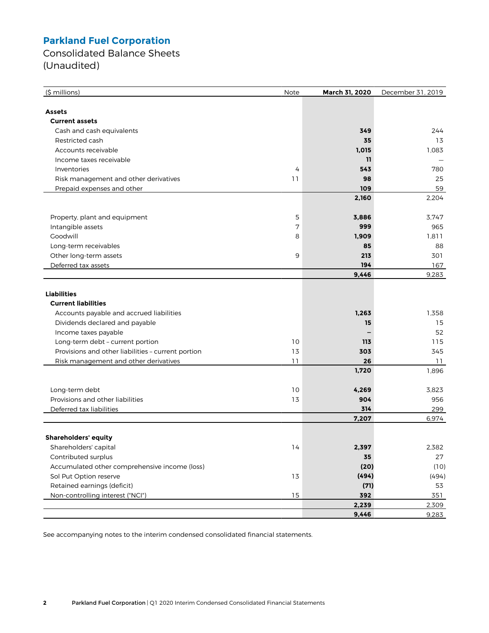Consolidated Balance Sheets (Unaudited)

| (\$ millions)                                      | Note | March 31, 2020 | December 31, 2019 |
|----------------------------------------------------|------|----------------|-------------------|
|                                                    |      |                |                   |
| <b>Assets</b>                                      |      |                |                   |
| <b>Current assets</b>                              |      |                |                   |
| Cash and cash equivalents                          |      | 349            | 244               |
| Restricted cash                                    |      | 35             | 13                |
| Accounts receivable                                |      | 1,015          | 1,083             |
| Income taxes receivable                            |      | 11             |                   |
| Inventories                                        | 4    | 543            | 780               |
| Risk management and other derivatives              | 11   | 98             | 25                |
| Prepaid expenses and other                         |      | 109            | 59                |
|                                                    |      | 2,160          | 2,204             |
| Property, plant and equipment                      | 5    | 3,886          | 3.747             |
| Intangible assets                                  | 7    | 999            | 965               |
| Goodwill                                           | 8    | 1,909          | 1,811             |
| Long-term receivables                              |      | 85             | 88                |
| Other long-term assets                             | 9    | 213            | 301               |
| Deferred tax assets                                |      | 194            | 167               |
|                                                    |      | 9,446          | 9,283             |
|                                                    |      |                |                   |
| <b>Liabilities</b>                                 |      |                |                   |
| <b>Current liabilities</b>                         |      |                |                   |
| Accounts payable and accrued liabilities           |      | 1.263          | 1,358             |
| Dividends declared and payable                     |      | 15             | 15                |
| Income taxes payable                               |      |                | 52                |
| Long-term debt - current portion                   | 10   | 113            | 115               |
| Provisions and other liabilities - current portion | 13   | 303            | 345               |
| Risk management and other derivatives              | 11   | 26             | 11                |
|                                                    |      | 1,720          | 1,896             |
| Long-term debt                                     | 10   | 4,269          | 3,823             |
| Provisions and other liabilities                   | 13   | 904            | 956               |
| Deferred tax liabilities                           |      | 314            | 299               |
|                                                    |      | 7,207          | 6,974             |
|                                                    |      |                |                   |
| <b>Shareholders' equity</b>                        |      |                |                   |
| Shareholders' capital                              | 14   | 2,397          | 2,382             |
| Contributed surplus                                |      | 35             | 27                |
| Accumulated other comprehensive income (loss)      |      | (20)           | (10)              |
| Sol Put Option reserve                             | 13   | (494)          | (494)             |
| Retained earnings (deficit)                        |      | (71)           | 53                |
| Non-controlling interest ("NCI")                   | 15   | 392            | 351               |
|                                                    |      | 2,239          | 2,309             |
|                                                    |      | 9,446          | 9,283             |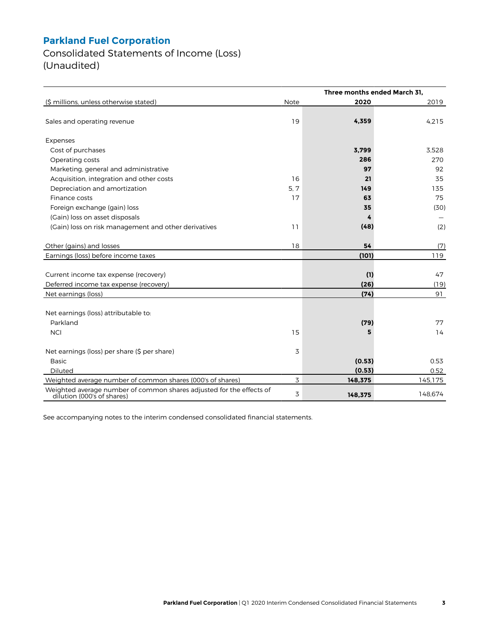Consolidated Statements of Income (Loss) (Unaudited)

|                                                                                                    | Three months ended March 31. |         |         |  |  |
|----------------------------------------------------------------------------------------------------|------------------------------|---------|---------|--|--|
| (\$ millions, unless otherwise stated)                                                             | Note                         | 2020    | 2019    |  |  |
| Sales and operating revenue                                                                        | 19                           | 4,359   | 4,215   |  |  |
| Expenses                                                                                           |                              |         |         |  |  |
| Cost of purchases                                                                                  |                              | 3,799   | 3,528   |  |  |
| Operating costs                                                                                    |                              | 286     | 270     |  |  |
| Marketing, general and administrative                                                              |                              | 97      | 92      |  |  |
| Acquisition, integration and other costs                                                           | 16                           | 21      | 35      |  |  |
| Depreciation and amortization                                                                      | 5, 7                         | 149     | 135     |  |  |
| Finance costs                                                                                      | 17                           | 63      | 75      |  |  |
| Foreign exchange (gain) loss                                                                       |                              | 35      | (30)    |  |  |
| (Gain) loss on asset disposals                                                                     |                              | 4       |         |  |  |
| (Gain) loss on risk management and other derivatives                                               | 11                           | (48)    | (2)     |  |  |
| Other (gains) and losses                                                                           | 18                           | 54      | (7)     |  |  |
| Earnings (loss) before income taxes                                                                |                              | (101)   | 119     |  |  |
|                                                                                                    |                              |         |         |  |  |
| Current income tax expense (recovery)                                                              |                              | (1)     | 47      |  |  |
| Deferred income tax expense (recovery)                                                             |                              | (26)    | (19)    |  |  |
| Net earnings (loss)                                                                                |                              | (74)    | 91      |  |  |
|                                                                                                    |                              |         |         |  |  |
| Net earnings (loss) attributable to:                                                               |                              |         |         |  |  |
| Parkland                                                                                           |                              | (79)    | 77      |  |  |
| <b>NCI</b>                                                                                         | 15                           | 5       | 14      |  |  |
| Net earnings (loss) per share (\$ per share)                                                       | 3                            |         |         |  |  |
| <b>Basic</b>                                                                                       |                              | (0.53)  | 0.53    |  |  |
| <b>Diluted</b>                                                                                     |                              | (0.53)  | 0.52    |  |  |
| Weighted average number of common shares (000's of shares)                                         | 3                            | 148,375 | 145,175 |  |  |
| Weighted average number of common shares adjusted for the effects of<br>dilution (000's of shares) | 3                            | 148,375 | 148,674 |  |  |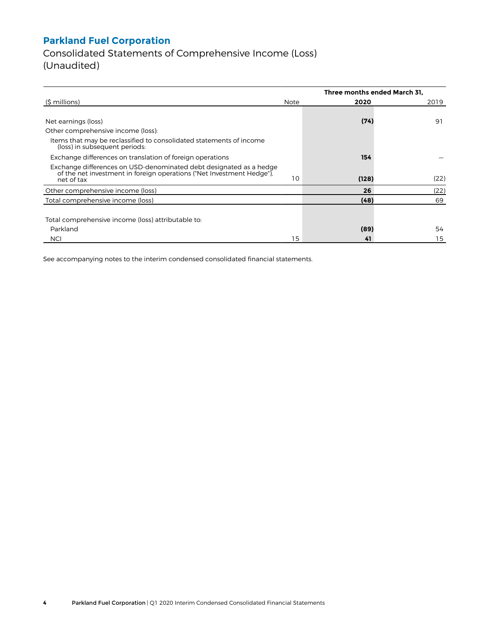Consolidated Statements of Comprehensive Income (Loss) (Unaudited)

|                                                                                                                                                           |      | Three months ended March 31. |      |  |  |
|-----------------------------------------------------------------------------------------------------------------------------------------------------------|------|------------------------------|------|--|--|
| (\$ millions)                                                                                                                                             | Note | 2020                         | 2019 |  |  |
|                                                                                                                                                           |      |                              |      |  |  |
| Net earnings (loss)                                                                                                                                       |      | (74)                         | 91   |  |  |
| Other comprehensive income (loss):                                                                                                                        |      |                              |      |  |  |
| Items that may be reclassified to consolidated statements of income<br>(loss) in subsequent periods:                                                      |      |                              |      |  |  |
| Exchange differences on translation of foreign operations                                                                                                 |      | 154                          |      |  |  |
| Exchange differences on USD-denominated debt designated as a hedge<br>of the net investment in foreign operations ("Net Investment Hedge").<br>net of tax | 10   | (128)                        | (22) |  |  |
| Other comprehensive income (loss)                                                                                                                         |      | 26                           | (22) |  |  |
| Total comprehensive income (loss)                                                                                                                         |      | (48)                         | 69   |  |  |
|                                                                                                                                                           |      |                              |      |  |  |
| Total comprehensive income (loss) attributable to:                                                                                                        |      |                              |      |  |  |
| Parkland                                                                                                                                                  |      | (89)                         | 54   |  |  |
| <b>NCI</b>                                                                                                                                                | 15   | 41                           | 15   |  |  |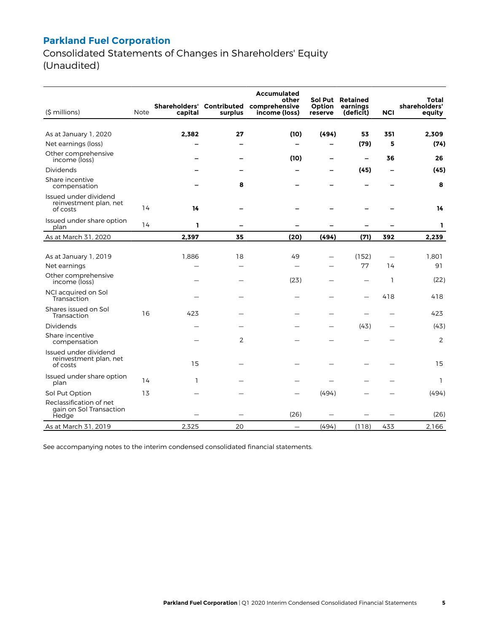Consolidated Statements of Changes in Shareholders' Equity (Unaudited)

|                                                             |      |                                      |         | Accumulated                             |                              |                                   |              |                                  |
|-------------------------------------------------------------|------|--------------------------------------|---------|-----------------------------------------|------------------------------|-----------------------------------|--------------|----------------------------------|
| (\$ millions)                                               | Note | Shareholders' Contributed<br>capital | surplus | other<br>comprehensive<br>income (loss) | Sol Put<br>Option<br>reserve | Retained<br>earnings<br>(deficit) | <b>NCI</b>   | Total<br>shareholders'<br>equity |
|                                                             |      |                                      |         |                                         |                              |                                   |              |                                  |
| As at January 1, 2020                                       |      | 2,382                                | 27      | (10)                                    | (494)                        | 53                                | 351          | 2,309                            |
| Net earnings (loss)                                         |      |                                      |         | -                                       | -                            | (79)                              | 5            | (74)                             |
| Other comprehensive<br>income (loss)                        |      |                                      |         | (10)                                    | —                            | $\overline{\phantom{0}}$          | 36           | 26                               |
| <b>Dividends</b>                                            |      |                                      |         |                                         |                              | (45)                              | -            | (45)                             |
| Share incentive<br>compensation                             |      |                                      | 8       |                                         |                              |                                   |              | 8                                |
| Issued under dividend<br>reinvestment plan, net<br>of costs | 14   | 14                                   |         |                                         |                              |                                   |              | 14                               |
| Issued under share option<br>plan                           | 14   | ı                                    | -       | -                                       |                              |                                   |              | ı                                |
| As at March 31, 2020                                        |      | 2,397                                | 35      | (20)                                    | (494)                        | (71)                              | 392          | 2,239                            |
|                                                             |      |                                      |         |                                         |                              |                                   |              |                                  |
| As at January 1, 2019                                       |      | 1.886                                | 18      | 49                                      |                              | (152)                             |              | 1,801                            |
| Net earnings                                                |      |                                      |         | $\overline{\phantom{0}}$                |                              | 77                                | 14           | 91                               |
| Other comprehensive<br>income (loss)                        |      |                                      |         | (23)                                    |                              |                                   | $\mathbf{1}$ | (22)                             |
| NCI acquired on Sol<br>Transaction                          |      |                                      |         |                                         |                              |                                   | 418          | 418                              |
| Shares issued on Sol<br>Transaction                         | 16   | 423                                  |         |                                         |                              |                                   |              | 423                              |
| Dividends                                                   |      |                                      |         |                                         |                              | (43)                              |              | (43)                             |
| Share incentive<br>compensation                             |      |                                      | 2       |                                         |                              |                                   |              | 2                                |
| Issued under dividend<br>reinvestment plan, net<br>of costs |      | 15                                   |         |                                         |                              |                                   |              | 15                               |
| Issued under share option<br>plan                           | 14   | 1                                    |         |                                         |                              |                                   |              | $\mathbf{1}$                     |
| Sol Put Option                                              | 13   |                                      |         |                                         | (494)                        |                                   |              | (494)                            |
| Reclassification of net<br>gain on Sol Transaction<br>Hedge |      |                                      |         | (26)                                    |                              |                                   |              | (26)                             |
| As at March 31, 2019                                        |      | 2,325                                | 20      | $\qquad \qquad \qquad$                  | (494)                        | (118)                             | 433          | 2,166                            |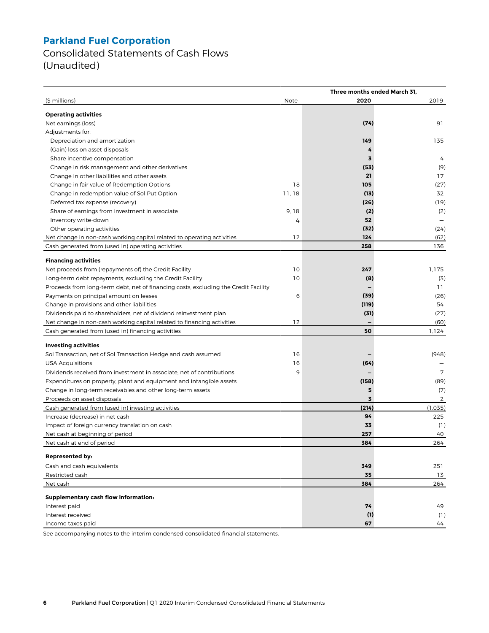Consolidated Statements of Cash Flows (Unaudited)

|                                                                                     |       |                | Three months ended March 31, |  |  |
|-------------------------------------------------------------------------------------|-------|----------------|------------------------------|--|--|
| (\$ millions)                                                                       | Note  | 2020           | 2019                         |  |  |
|                                                                                     |       |                |                              |  |  |
| <b>Operating activities</b>                                                         |       |                | 91                           |  |  |
| Net earnings (loss)                                                                 |       | (74)           |                              |  |  |
| Adjustments for:                                                                    |       |                |                              |  |  |
| Depreciation and amortization                                                       |       | 149            | 135                          |  |  |
| (Gain) loss on asset disposals                                                      |       | 4              |                              |  |  |
| Share incentive compensation                                                        |       | 3              | 4                            |  |  |
| Change in risk management and other derivatives                                     |       | (53)           | (9)                          |  |  |
| Change in other liabilities and other assets                                        |       | 21             | 17                           |  |  |
| Change in fair value of Redemption Options                                          | 18    | 105            | (27)                         |  |  |
| Change in redemption value of Sol Put Option                                        | 11,18 | (13)           | 32                           |  |  |
| Deferred tax expense (recovery)                                                     |       | (26)           | (19)                         |  |  |
| Share of earnings from investment in associate                                      | 9, 18 | (2)            | (2)                          |  |  |
| Inventory write-down                                                                | 4     | 52             |                              |  |  |
| Other operating activities                                                          |       | (32)           | (24)                         |  |  |
| Net change in non-cash working capital related to operating activities              | 12    | 124            | (62)                         |  |  |
| Cash generated from (used in) operating activities                                  |       | 258            | 136                          |  |  |
|                                                                                     |       |                |                              |  |  |
| <b>Financing activities</b>                                                         |       |                |                              |  |  |
| Net proceeds from (repayments of) the Credit Facility                               | 10    | 247            | 1,175                        |  |  |
| Long-term debt repayments, excluding the Credit Facility                            | 10    | (8)            | (3)                          |  |  |
| Proceeds from long-term debt, net of financing costs, excluding the Credit Facility |       |                | 11                           |  |  |
| Payments on principal amount on leases                                              | 6     | (39)           | (26)                         |  |  |
| Change in provisions and other liabilities                                          |       | (119)          | 54                           |  |  |
| Dividends paid to shareholders, net of dividend reinvestment plan                   |       | (31)           | (27)                         |  |  |
| Net change in non-cash working capital related to financing activities              | 12    |                | (60)                         |  |  |
| Cash generated from (used in) financing activities                                  |       | 50             | 1,124                        |  |  |
|                                                                                     |       |                |                              |  |  |
| <b>Investing activities</b>                                                         |       |                |                              |  |  |
| Sol Transaction, net of Sol Transaction Hedge and cash assumed                      | 16    |                | (948)                        |  |  |
| <b>USA Acquisitions</b>                                                             | 16    | (64)           |                              |  |  |
| Dividends received from investment in associate, net of contributions               | 9     |                | 7                            |  |  |
| Expenditures on property, plant and equipment and intangible assets                 |       | (158)          | (89)                         |  |  |
| Change in long-term receivables and other long-term assets                          |       | 5              | (7)                          |  |  |
| Proceeds on asset disposals                                                         |       | $\overline{3}$ | 2                            |  |  |
| Cash generated from (used in) investing activities                                  |       | (214)          | (1,035)                      |  |  |
| Increase (decrease) in net cash                                                     |       | 94             | 225                          |  |  |
| Impact of foreign currency translation on cash                                      |       | 33             | (1)                          |  |  |
| Net cash at beginning of period                                                     |       | 257            | 40                           |  |  |
| Net cash at end of period                                                           |       | 384            | 264                          |  |  |
| Represented by:                                                                     |       |                |                              |  |  |
| Cash and cash equivalents                                                           |       | 349            | 251                          |  |  |
| Restricted cash                                                                     |       | 35             | 13                           |  |  |
| Net cash                                                                            |       | 384            | 264                          |  |  |
|                                                                                     |       |                |                              |  |  |
| Supplementary cash flow information:                                                |       |                |                              |  |  |
| Interest paid                                                                       |       | 74             | 49                           |  |  |
| Interest received                                                                   |       | (1)            | (1)                          |  |  |
| Income taxes paid                                                                   |       | 67             | 44                           |  |  |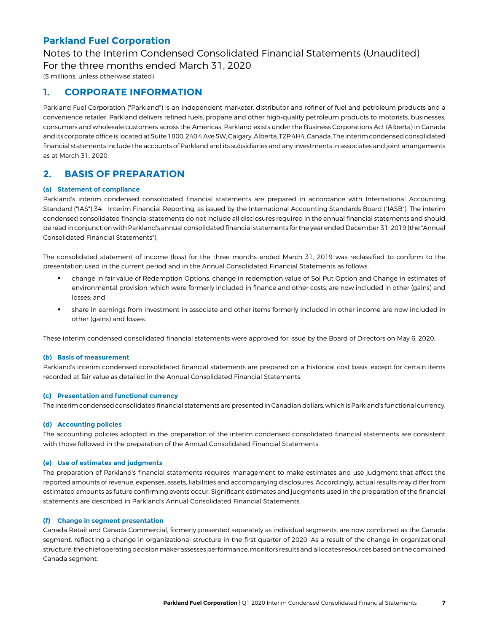# Notes to the Interim Condensed Consolidated Financial Statements (Unaudited)

For the three months ended March 31, 2020

(\$ millions, unless otherwise stated)

### **1. CORPORATE INFORMATION**

Parkland Fuel Corporation ("Parkland") is an independent marketer, distributor and refiner of fuel and petroleum products and a convenience retailer. Parkland delivers refined fuels, propane and other high-quality petroleum products to motorists, businesses, consumers and wholesale customers across the Americas. Parkland exists under the Business Corporations Act (Alberta) in Canada and its corporate office is located at Suite 1800, 240 4 Ave SW, Calgary, Alberta, T2P 4H4, Canada. The interim condensed consolidated financial statements include the accounts of Parkland and its subsidiaries and any investments in associates and joint arrangements as at March 31, 2020.

### **2. BASIS OF PREPARATION**

#### **(a) Statement of compliance**

Parkland's interim condensed consolidated financial statements are prepared in accordance with International Accounting Standard ("IAS") 34 - Interim Financial Reporting, as issued by the International Accounting Standards Board ("IASB"). The interim condensed consolidated financial statements do not include all disclosures required in the annual financial statements and should be read in conjunction with Parkland's annual consolidated financial statements for the year ended December 31, 2019 (the "Annual Consolidated Financial Statements").

The consolidated statement of income (loss) for the three months ended March 31, 2019 was reclassified to conform to the presentation used in the current period and in the Annual Consolidated Financial Statements as follows:

- change in fair value of Redemption Options, change in redemption value of Sol Put Option and Change in estimates of environmental provision, which were formerly included in finance and other costs, are now included in other (gains) and losses; and
- share in earnings from investment in associate and other items formerly included in other income are now included in other (gains) and losses.

These interim condensed consolidated financial statements were approved for issue by the Board of Directors on May 6, 2020.

#### **(b) Basis of measurement**

Parkland's interim condensed consolidated financial statements are prepared on a historical cost basis, except for certain items recorded at fair value as detailed in the Annual Consolidated Financial Statements.

#### **(c) Presentation and functional currency**

The interim condensed consolidated financial statements are presented in Canadian dollars, which is Parkland's functional currency.

#### **(d) Accounting policies**

The accounting policies adopted in the preparation of the interim condensed consolidated financial statements are consistent with those followed in the preparation of the Annual Consolidated Financial Statements.

#### **(e) Use of estimates and judgments**

The preparation of Parkland's financial statements requires management to make estimates and use judgment that affect the reported amounts of revenue, expenses, assets, liabilities and accompanying disclosures. Accordingly, actual results may differ from estimated amounts as future confirming events occur. Significant estimates and judgments used in the preparation of the financial statements are described in Parkland's Annual Consolidated Financial Statements.

#### **(f) Change in segment presentation**

Canada Retail and Canada Commercial, formerly presented separately as individual segments, are now combined as the Canada segment, reflecting a change in organizational structure in the first quarter of 2020. As a result of the change in organizational structure, the chief operating decision maker assesses performance, monitors results and allocates resources based on the combined Canada segment.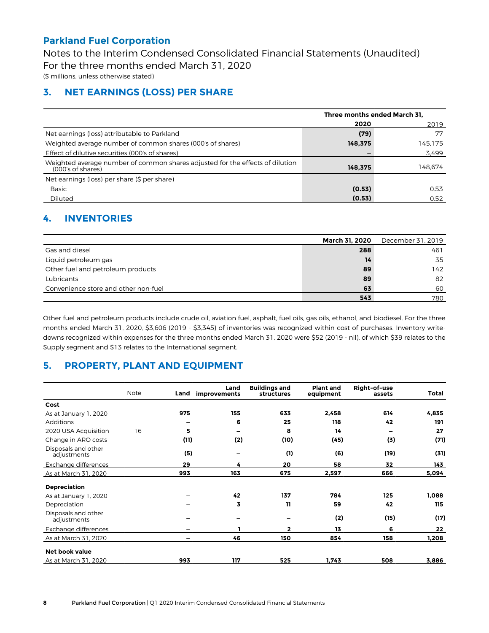Notes to the Interim Condensed Consolidated Financial Statements (Unaudited) For the three months ended March 31, 2020

(\$ millions, unless otherwise stated)

### **3. NET EARNINGS (LOSS) PER SHARE**

|                                                                                                    | Three months ended March 31. |         |  |
|----------------------------------------------------------------------------------------------------|------------------------------|---------|--|
|                                                                                                    | 2020                         | 2019    |  |
| Net earnings (loss) attributable to Parkland                                                       | (79)                         | 77      |  |
| Weighted average number of common shares (000's of shares)                                         | 148.375                      | 145.175 |  |
| Effect of dilutive securities (000's of shares)                                                    |                              | 3,499   |  |
| Weighted average number of common shares adjusted for the effects of dilution<br>(000's of shares) | 148.375                      | 148.674 |  |
| Net earnings (loss) per share (\$ per share)                                                       |                              |         |  |
| Basic                                                                                              | (0.53)                       | 0.53    |  |
| Diluted                                                                                            | (0.53)                       | 0.52    |  |

### **4. INVENTORIES**

|                                      | March 31, 2020 | December 31, 2019 |
|--------------------------------------|----------------|-------------------|
| Gas and diesel                       | 288            | 461               |
| Liquid petroleum gas                 | 14             | 35                |
| Other fuel and petroleum products    | 89             | 142               |
| Lubricants                           | 89             | 82                |
| Convenience store and other non-fuel | 63             | 60                |
|                                      | 543            | 780               |

Other fuel and petroleum products include crude oil, aviation fuel, asphalt, fuel oils, gas oils, ethanol, and biodiesel. For the three months ended March 31, 2020, \$3,606 (2019 - \$3,345) of inventories was recognized within cost of purchases. Inventory writedowns recognized within expenses for the three months ended March 31, 2020 were \$52 (2019 - nil), of which \$39 relates to the Supply segment and \$13 relates to the International segment.

## **5. PROPERTY, PLANT AND EQUIPMENT**

|                                    | Note | Land | Land<br>improvements | <b>Buildings and</b><br>structures | <b>Plant and</b><br>equipment | Right-of-use<br>assets | Total |
|------------------------------------|------|------|----------------------|------------------------------------|-------------------------------|------------------------|-------|
| Cost                               |      |      |                      |                                    |                               |                        |       |
| As at January 1, 2020              |      | 975  | 155                  | 633                                | 2,458                         | 614                    | 4,835 |
| Additions                          |      |      | 6                    | 25                                 | 118                           | 42                     | 191   |
| 2020 USA Acquisition               | 16   | 5    | —                    | 8                                  | 14                            | -                      | 27    |
| Change in ARO costs                |      | (11) | (2)                  | (10)                               | (45)                          | (3)                    | (71)  |
| Disposals and other<br>adjustments |      | (5)  |                      | (1)                                | (6)                           | (19)                   | (31)  |
| Exchange differences               |      | 29   | 4                    | 20                                 | 58                            | 32                     | 143   |
| As at March 31, 2020               |      | 993  | 163                  | 675                                | 2,597                         | 666                    | 5,094 |
| <b>Depreciation</b>                |      |      |                      |                                    |                               |                        |       |
| As at January 1, 2020              |      |      | 42                   | 137                                | 784                           | 125                    | 1,088 |
| Depreciation                       |      |      | 3                    | 11                                 | 59                            | 42                     | 115   |
| Disposals and other<br>adjustments |      |      |                      |                                    | (2)                           | (15)                   | (17)  |
| Exchange differences               |      |      |                      | $\mathbf{2}$                       | 13                            | 6                      | 22    |
| As at March 31, 2020               |      |      | 46                   | 150                                | 854                           | 158                    | 1,208 |
| <b>Net book value</b>              |      |      |                      |                                    |                               |                        |       |
| As at March 31, 2020               |      | 993  | 117                  | 525                                | 1,743                         | 508                    | 3,886 |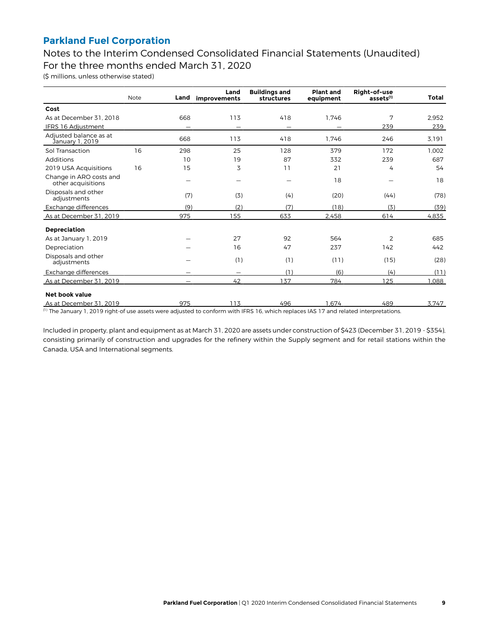Notes to the Interim Condensed Consolidated Financial Statements (Unaudited) For the three months ended March 31, 2020

(\$ millions, unless otherwise stated)

|                                               | <b>Note</b> | Land | Land<br>improvements | <b>Buildings and</b><br><b>structures</b> | <b>Plant and</b><br>equipment | Right-of-use<br>assets <sup>(1)</sup> | Total |
|-----------------------------------------------|-------------|------|----------------------|-------------------------------------------|-------------------------------|---------------------------------------|-------|
| Cost                                          |             |      |                      |                                           |                               |                                       |       |
| As at December 31, 2018                       |             | 668  | 113                  | 418                                       | 1.746                         | 7                                     | 2.952 |
| IFRS 16 Adjustment                            |             |      |                      |                                           |                               | 239                                   | 239   |
| Adjusted balance as at<br>January 1, 2019     |             | 668  | 113                  | 418                                       | 1.746                         | 246                                   | 3.191 |
| Sol Transaction                               | 16          | 298  | 25                   | 128                                       | 379                           | 172                                   | 1.002 |
| Additions                                     |             | 10   | 19                   | 87                                        | 332                           | 239                                   | 687   |
| 2019 USA Acquisitions                         | 16          | 15   | 3                    | 11                                        | 21                            | 4                                     | 54    |
| Change in ARO costs and<br>other acquisitions |             |      | -                    |                                           | 18                            |                                       | 18    |
| Disposals and other<br>adjustments            |             | (7)  | (3)                  | (4)                                       | (20)                          | (44)                                  | (78)  |
| Exchange differences                          |             | (9)  | (2)                  | (7)                                       | (18)                          | (3)                                   | (39)  |
| As at December 31, 2019                       |             | 975  | 155                  | 633                                       | 2.458                         | 614                                   | 4.835 |
| <b>Depreciation</b>                           |             |      |                      |                                           |                               |                                       |       |
| As at January 1, 2019                         |             |      | 27                   | 92                                        | 564                           | $\overline{2}$                        | 685   |
| Depreciation                                  |             |      | 16                   | 47                                        | 237                           | 142                                   | 442   |
| Disposals and other<br>adjustments            |             |      | (1)                  | (1)                                       | (11)                          | (15)                                  | (28)  |
| Exchange differences                          |             |      | —                    | (1)                                       | (6)                           | (4)                                   | (11)  |
| As at December 31, 2019                       |             |      | 42                   | 137                                       | 784                           | 125                                   | 1,088 |
| Net book value                                |             |      |                      |                                           |                               |                                       |       |
| As at December 31, 2019                       |             | 975  | 113                  | 496                                       | 1.674                         | 489                                   | 3,747 |

(1) The January 1, 2019 right-of use assets were adjusted to conform with IFRS 16, which replaces IAS 17 and related interpretations.

Included in property, plant and equipment as at March 31, 2020 are assets under construction of \$423 (December 31, 2019 - \$354), consisting primarily of construction and upgrades for the refinery within the Supply segment and for retail stations within the Canada, USA and International segments.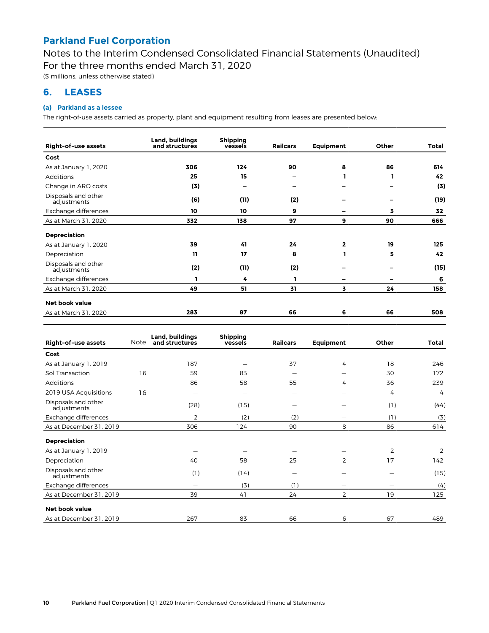Notes to the Interim Condensed Consolidated Financial Statements (Unaudited) For the three months ended March 31, 2020

(\$ millions, unless otherwise stated)

### **6. LEASES**

#### **(a) Parkland as a lessee**

The right-of-use assets carried as property, plant and equipment resulting from leases are presented below:

| Right-of-use assets                | Land, buildings<br>and structures | <b>Shipping</b><br>vessels | <b>Railcars</b> | Equipment    | Other | Total |
|------------------------------------|-----------------------------------|----------------------------|-----------------|--------------|-------|-------|
| Cost                               |                                   |                            |                 |              |       |       |
| As at January 1, 2020              | 306                               | 124                        | 90              | 8            | 86    | 614   |
| Additions                          | 25                                | 15                         |                 |              | ı     | 42    |
| Change in ARO costs                | (3)                               | $\overline{\phantom{0}}$   |                 |              | -     | (3)   |
| Disposals and other<br>adjustments | (6)                               | (11)                       | (2)             |              |       | (19)  |
| Exchange differences               | 10                                | 10                         | 9               |              | 3     | 32    |
| As at March 31, 2020               | 332                               | 138                        | 97              | 9            | 90    | 666   |
| <b>Depreciation</b>                |                                   |                            |                 |              |       |       |
| As at January 1, 2020              | 39                                | 41                         | 24              | $\mathbf{2}$ | 19    | 125   |
| Depreciation                       | 11                                | 17                         | 8               |              | 5     | 42    |
| Disposals and other<br>adjustments | (2)                               | (11)                       | (2)             |              |       | (15)  |
| Exchange differences               | ı                                 | 4                          | ı               |              |       | 6     |
| As at March 31, 2020               | 49                                | 51                         | 31              | 3            | 24    | 158   |
| <b>Net book value</b>              |                                   |                            |                 |              |       |       |
| As at March 31, 2020               | 283                               | 87                         | 66              | 6            | 66    | 508   |
|                                    |                                   |                            |                 |              |       |       |

| Right-of-use assets                | Note | Land, buildings<br>and structures | <b>Shipping</b><br>vessels | <b>Railcars</b>          | <b>Equipment</b> | Other          | Total          |
|------------------------------------|------|-----------------------------------|----------------------------|--------------------------|------------------|----------------|----------------|
| Cost                               |      |                                   |                            |                          |                  |                |                |
| As at January 1, 2019              |      | 187                               |                            | 37                       | 4                | 18             | 246            |
| Sol Transaction                    | 16   | 59                                | 83                         |                          |                  | 30             | 172            |
| <b>Additions</b>                   |      | 86                                | 58                         | 55                       | 4                | 36             | 239            |
| 2019 USA Acquisitions              | 16   | —                                 | -                          | $\overline{\phantom{0}}$ |                  | 4              | $\overline{4}$ |
| Disposals and other<br>adjustments |      | (28)                              | (15)                       |                          |                  | (1)            | (44)           |
| Exchange differences               |      | 2                                 | (2)                        | (2)                      |                  | (1)            | (3)            |
| As at December 31, 2019            |      | 306                               | 124                        | 90                       | 8                | 86             | 614            |
| <b>Depreciation</b>                |      |                                   |                            |                          |                  |                |                |
| As at January 1, 2019              |      |                                   |                            |                          |                  | $\overline{2}$ | 2              |
| Depreciation                       |      | 40                                | 58                         | 25                       | 2                | 17             | 142            |
| Disposals and other<br>adjustments |      | (1)                               | (14)                       |                          |                  |                | (15)           |
| Exchange differences               |      | —                                 | (3)                        | (1)                      |                  |                | (4)            |
| As at December 31, 2019            |      | 39                                | 41                         | 24                       | 2                | 19             | 125            |
| <b>Net book value</b>              |      |                                   |                            |                          |                  |                |                |
| As at December 31, 2019            |      | 267                               | 83                         | 66                       | 6                | 67             | 489            |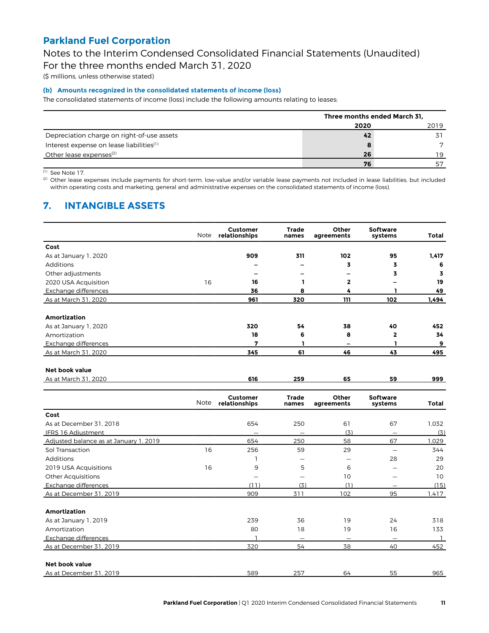Notes to the Interim Condensed Consolidated Financial Statements (Unaudited)

For the three months ended March 31, 2020

(\$ millions, unless otherwise stated)

#### **(b) Amounts recognized in the consolidated statements of income (loss)**

The consolidated statements of income (loss) include the following amounts relating to leases:

|                                                      | Three months ended March 31, |      |  |
|------------------------------------------------------|------------------------------|------|--|
|                                                      | 2020                         | 2019 |  |
| Depreciation charge on right-of-use assets           | 42                           | 71   |  |
| Interest expense on lease liabilities <sup>(1)</sup> | 8                            |      |  |
| Other lease expenses <sup>(2)</sup>                  | 26                           | 19   |  |
|                                                      | 76                           | 57   |  |

(1) See Note 17.

(2) Other lease expenses include payments for short-term, low-value and/or variable lease payments not included in lease liabilities, but included within operating costs and marketing, general and administrative expenses on the consolidated statements of income (loss).

## **7. INTANGIBLE ASSETS**

|                                        | Note | <b>Customer</b><br>relationships | <b>Trade</b><br>names    | Other<br>agreements      | Software<br>systems        | Total          |
|----------------------------------------|------|----------------------------------|--------------------------|--------------------------|----------------------------|----------------|
| Cost                                   |      |                                  |                          |                          |                            |                |
| As at January 1, 2020                  |      | 909                              | 311                      | 102                      | 95                         | 1,417          |
| Additions                              |      |                                  |                          | 3                        | 3                          | 6              |
| Other adjustments                      |      | -                                |                          |                          | 3                          | 3              |
| 2020 USA Acquisition                   | 16   | 16                               | ı.                       | 2                        |                            | 19             |
| Exchange differences                   |      | 36                               | 8                        | 4                        | п.                         | 49             |
| As at March 31, 2020                   |      | 961                              | 320                      | 111                      | 102                        | 1,494          |
| <b>Amortization</b>                    |      |                                  |                          |                          |                            |                |
| As at January 1, 2020                  |      | 320                              | 54                       | 38                       | 40                         | 452            |
| Amortization                           |      | 18                               | 6                        | 8                        | $\mathbf{2}$               | 34             |
| Exchange differences                   |      | 7                                | ı                        |                          | ı                          | 9              |
| As at March 31, 2020                   |      | 345                              | 61                       | 46                       | 43                         | 495            |
| <b>Net book value</b>                  |      |                                  |                          |                          |                            |                |
| As at March 31, 2020                   |      | 616                              | 259                      | 65                       | 59                         | 999            |
|                                        | Note | <b>Customer</b><br>relationships | <b>Trade</b><br>names    | Other<br>agreements      | <b>Software</b><br>systems | Total          |
| Cost                                   |      |                                  |                          |                          |                            |                |
| As at December 31, 2018                |      | 654                              | 250                      | 61                       | 67                         | 1,032          |
| IFRS 16 Adjustment                     |      | $\overline{\phantom{m}}$         |                          | (3)                      | $\overline{\phantom{m}}$   | (3)            |
| Adjusted balance as at January 1, 2019 |      | 654                              | 250                      | 58                       | 67                         | 1,029          |
| Sol Transaction                        | 16   | 256                              | 59                       | 29                       | $\qquad \qquad -$          | 344            |
| Additions                              |      | 1                                |                          | $\overline{\phantom{0}}$ | 28                         | 29             |
| 2019 USA Acquisitions                  | 16   | 9                                | 5                        | 6                        |                            | 20             |
| <b>Other Acquisitions</b>              |      | $\overline{\phantom{0}}$         | $\overline{\phantom{0}}$ | 10                       | $\overline{\phantom{0}}$   | 10             |
| Exchange differences                   |      | (11)                             | (3)                      | (1)                      |                            | (15)           |
| As at December 31, 2019                |      | 909                              | 311                      | 102                      | 95                         | 1.417          |
| <b>Amortization</b>                    |      |                                  |                          |                          |                            |                |
| As at January 1, 2019                  |      | 239                              | 36                       | 19                       | 24                         | 318            |
| Amortization                           |      | 80                               | 18                       | 19                       | 16                         | 133            |
| Exchange differences                   |      | ı                                | $\qquad \qquad -$        | $\overline{\phantom{0}}$ | $\overline{\phantom{0}}$   | $\overline{1}$ |
| As at December 31, 2019                |      | 320                              | 54                       | 38                       | 40                         | 452            |
| Net book value                         |      |                                  |                          |                          |                            |                |
| As at December 31, 2019                |      | 589                              | 257                      | 64                       | 55                         | 965            |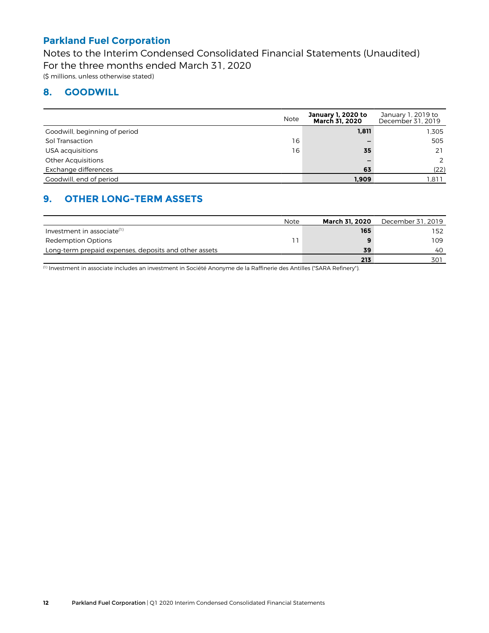Notes to the Interim Condensed Consolidated Financial Statements (Unaudited) For the three months ended March 31, 2020 (\$ millions, unless otherwise stated)

### **8. GOODWILL**

|                               | <b>Note</b> | January 1, 2020 to<br><b>March 31, 2020</b> | January 1, 2019 to<br>December 31, 2019 |
|-------------------------------|-------------|---------------------------------------------|-----------------------------------------|
| Goodwill, beginning of period |             | 1,811                                       | 1.305                                   |
| Sol Transaction               | 16          | -                                           | 505                                     |
| USA acquisitions              | 16          | 35                                          | 21                                      |
| <b>Other Acquisitions</b>     |             |                                             | 2                                       |
| Exchange differences          |             | 63                                          | (22)                                    |
| Goodwill, end of period       |             | 1,909                                       | .811                                    |

## **9. OTHER LONG-TERM ASSETS**

|                                                       | Note | March 31, 2020 | December 31, 2019 |
|-------------------------------------------------------|------|----------------|-------------------|
| Investment in associate $(1)$                         |      | 165            | 152               |
| Redemption Options                                    |      |                | 109               |
| Long-term prepaid expenses, deposits and other assets |      | 39             | 40                |
|                                                       |      | 213            | 301               |

(1) Investment in associate includes an investment in Société Anonyme de la Raffinerie des Antilles ("SARA Refinery").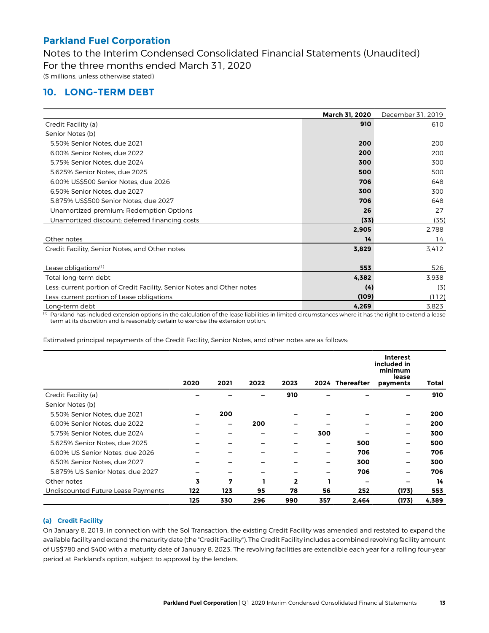Notes to the Interim Condensed Consolidated Financial Statements (Unaudited) For the three months ended March 31, 2020 (\$ millions, unless otherwise stated)

### **10. LONG-TERM DEBT**

|                                                                        | <b>March 31, 2020</b> | December 31, 2019 |
|------------------------------------------------------------------------|-----------------------|-------------------|
| Credit Facility (a)                                                    | 910                   | 610               |
| Senior Notes (b)                                                       |                       |                   |
| 5.50% Senior Notes, due 2021                                           | 200                   | 200               |
| 6.00% Senior Notes, due 2022                                           | 200                   | 200               |
| 5.75% Senior Notes, due 2024                                           | 300                   | 300               |
| 5.625% Senior Notes, due 2025                                          | 500                   | 500               |
| 6.00% US\$500 Senior Notes, due 2026                                   | 706                   | 648               |
| 6.50% Senior Notes, due 2027                                           | 300                   | 300               |
| 5.875% US\$500 Senior Notes, due 2027                                  | 706                   | 648               |
| Unamortized premium: Redemption Options                                | 26                    | 27                |
| Unamortized discount: deferred financing costs                         | (33)                  | (35)              |
|                                                                        | 2,905                 | 2,788             |
| Other notes                                                            | 14                    | 14                |
| Credit Facility, Senior Notes, and Other notes                         | 3,829                 | 3.412             |
|                                                                        |                       |                   |
| Lease obligations <sup>(1)</sup>                                       | 553                   | 526               |
| Total long-term debt                                                   | 4,382                 | 3,938             |
| Less: current portion of Credit Facility, Senior Notes and Other notes | (4)                   | (3)               |
| Less: current portion of Lease obligations                             | (109)                 | (112)             |
| Long-term debt                                                         | 4,269                 | 3,823             |

 $<sup>(1)</sup>$  Parkland has included extension options in the calculation of the lease liabilities in limited circumstances where it has the right to extend a lease</sup> term at its discretion and is reasonably certain to exercise the extension option.

Estimated principal repayments of the Credit Facility, Senior Notes, and other notes are as follows:

|                                    |      |      |      |              |     |                 | <b>Interest</b><br>included in<br>minimum<br>lease |       |
|------------------------------------|------|------|------|--------------|-----|-----------------|----------------------------------------------------|-------|
|                                    | 2020 | 2021 | 2022 | 2023         |     | 2024 Thereafter | payments                                           | Total |
| Credit Facility (a)                |      |      |      | 910          |     |                 |                                                    | 910   |
| Senior Notes (b)                   |      |      |      |              |     |                 |                                                    |       |
| 5.50% Senior Notes, due 2021       |      | 200  |      |              |     |                 |                                                    | 200   |
| 6.00% Senior Notes, due 2022       |      | -    | 200  |              |     |                 |                                                    | 200   |
| 5.75% Senior Notes, due 2024       |      |      |      |              | 300 |                 |                                                    | 300   |
| 5.625% Senior Notes, due 2025      |      |      |      |              |     | 500             | -                                                  | 500   |
| 6.00% US Senior Notes, due 2026    |      |      |      |              |     | 706             | -                                                  | 706   |
| 6.50% Senior Notes, due 2027       |      |      |      |              |     | 300             | -                                                  | 300   |
| 5.875% US Senior Notes, due 2027   | -    |      |      |              |     | 706             |                                                    | 706   |
| Other notes                        | 3    | 7    |      | $\mathbf{2}$ |     |                 |                                                    | 14    |
| Undiscounted Future Lease Payments | 122  | 123  | 95   | 78           | 56  | 252             | (173)                                              | 553   |
|                                    | 125  | 330  | 296  | 990          | 357 | 2,464           | (173)                                              | 4,389 |

#### **(a) Credit Facility**

On January 8, 2019, in connection with the Sol Transaction, the existing Credit Facility was amended and restated to expand the available facility and extend the maturity date (the "Credit Facility"). The Credit Facility includes a combined revolving facility amount of US\$780 and \$400 with a maturity date of January 8, 2023. The revolving facilities are extendible each year for a rolling four-year period at Parkland's option, subject to approval by the lenders.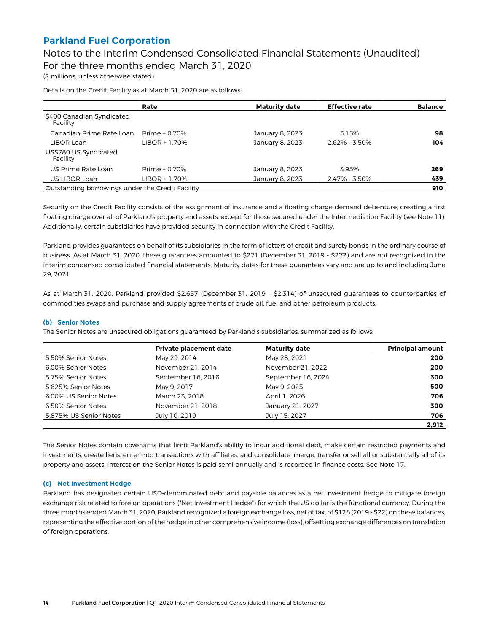Notes to the Interim Condensed Consolidated Financial Statements (Unaudited) For the three months ended March 31, 2020

(\$ millions, unless otherwise stated)

Details on the Credit Facility as at March 31, 2020 are as follows:

|                                                  | Rate           | <b>Maturity date</b> | <b>Effective rate</b> | <b>Balance</b> |
|--------------------------------------------------|----------------|----------------------|-----------------------|----------------|
| \$400 Canadian Syndicated<br>Facility            |                |                      |                       |                |
| Canadian Prime Rate Loan                         | Prime $+0.70%$ | January 8, 2023      | 3.15%                 | 98             |
| LIBOR Loan                                       | LIBOR + 1.70%  | January 8, 2023      | $2.62\% - 3.50\%$     | 104            |
| US\$780 US Syndicated<br>Facility                |                |                      |                       |                |
| US Prime Rate Loan                               | Prime + 0.70%  | January 8, 2023      | 3.95%                 | 269            |
| US LIBOR Loan                                    | LIBOR + 1.70%  | January 8, 2023      | 2.47% - 3.50%         | 439            |
| Outstanding borrowings under the Credit Facility |                |                      |                       | 910            |

Security on the Credit Facility consists of the assignment of insurance and a floating charge demand debenture, creating a first floating charge over all of Parkland's property and assets, except for those secured under the Intermediation Facility (see Note 11). Additionally, certain subsidiaries have provided security in connection with the Credit Facility.

Parkland provides guarantees on behalf of its subsidiaries in the form of letters of credit and surety bonds in the ordinary course of business. As at March 31, 2020, these guarantees amounted to \$271 (December 31, 2019 - \$272) and are not recognized in the interim condensed consolidated financial statements. Maturity dates for these guarantees vary and are up to and including June 29, 2021.

As at March 31, 2020, Parkland provided \$2,657 (December 31, 2019 - \$2,314) of unsecured guarantees to counterparties of commodities swaps and purchase and supply agreements of crude oil, fuel and other petroleum products.

#### **(b) Senior Notes**

The Senior Notes are unsecured obligations guaranteed by Parkland's subsidiaries, summarized as follows:

|                        | <b>Private placement date</b> | <b>Maturity date</b> | <b>Principal amount</b> |
|------------------------|-------------------------------|----------------------|-------------------------|
| 5.50% Senior Notes     | May 29, 2014                  | May 28, 2021         | 200                     |
| 6.00% Senior Notes     | November 21, 2014             | November 21, 2022    | 200                     |
| 5.75% Senior Notes     | September 16, 2016            | September 16, 2024   | 300                     |
| 5.625% Senior Notes    | May 9, 2017                   | May 9, 2025          | 500                     |
| 6.00% US Senior Notes  | March 23, 2018                | April 1, 2026        | 706                     |
| 6.50% Senior Notes     | November 21, 2018             | January 21, 2027     | 300                     |
| 5.875% US Senior Notes | July 10, 2019                 | July 15, 2027        | 706                     |
|                        |                               |                      | 2.912                   |

The Senior Notes contain covenants that limit Parkland's ability to incur additional debt, make certain restricted payments and investments, create liens, enter into transactions with affiliates, and consolidate, merge, transfer or sell all or substantially all of its property and assets. Interest on the Senior Notes is paid semi-annually and is recorded in finance costs. See Note 17.

#### **(c) Net Investment Hedge**

Parkland has designated certain USD-denominated debt and payable balances as a net investment hedge to mitigate foreign exchange risk related to foreign operations ("Net Investment Hedge") for which the US dollar is the functional currency. During the three months ended March 31, 2020, Parkland recognized a foreign exchange loss, net of tax, of \$128 (2019 - \$22) on these balances, representing the effective portion of the hedge in other comprehensive income (loss), offsetting exchange differences on translation of foreign operations.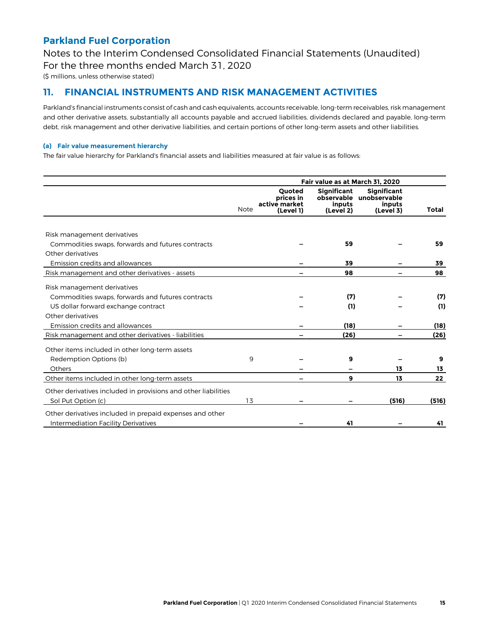Notes to the Interim Condensed Consolidated Financial Statements (Unaudited) For the three months ended March 31, 2020

(\$ millions, unless otherwise stated)

### **11. FINANCIAL INSTRUMENTS AND RISK MANAGEMENT ACTIVITIES**

Parkland's financial instruments consist of cash and cash equivalents, accounts receivable, long-term receivables, risk management and other derivative assets, substantially all accounts payable and accrued liabilities, dividends declared and payable, long-term debt, risk management and other derivative liabilities, and certain portions of other long-term assets and other liabilities.

#### **(a) Fair value measurement hierarchy**

The fair value hierarchy for Parkland's financial assets and liabilities measured at fair value is as follows:

|                                                                |             |                                                          | Fair value as at March 31, 2020                         |                                                           |       |
|----------------------------------------------------------------|-------------|----------------------------------------------------------|---------------------------------------------------------|-----------------------------------------------------------|-------|
|                                                                | <b>Note</b> | <b>Ouoted</b><br>prices in<br>active market<br>(Level 1) | <b>Significant</b><br>observable<br>inputs<br>(Level 2) | <b>Significant</b><br>unobservable<br>inputs<br>(Level 3) | Total |
|                                                                |             |                                                          |                                                         |                                                           |       |
| Risk management derivatives                                    |             |                                                          |                                                         |                                                           |       |
| Commodities swaps, forwards and futures contracts              |             |                                                          | 59                                                      |                                                           | 59    |
| Other derivatives                                              |             |                                                          |                                                         |                                                           |       |
| Emission credits and allowances                                |             |                                                          | 39                                                      |                                                           | 39    |
| Risk management and other derivatives - assets                 |             |                                                          | 98                                                      |                                                           | 98    |
| Risk management derivatives                                    |             |                                                          |                                                         |                                                           |       |
| Commodities swaps, forwards and futures contracts              |             |                                                          | (7)                                                     |                                                           | (7)   |
| US dollar forward exchange contract                            |             |                                                          | (1)                                                     |                                                           | (1)   |
| Other derivatives                                              |             |                                                          |                                                         |                                                           |       |
| Emission credits and allowances                                |             |                                                          | (18)                                                    |                                                           | (18)  |
| Risk management and other derivatives - liabilities            |             |                                                          | (26)                                                    |                                                           | (26)  |
| Other items included in other long-term assets                 |             |                                                          |                                                         |                                                           |       |
| Redemption Options (b)                                         | 9           |                                                          | 9                                                       |                                                           | 9     |
| Others                                                         |             |                                                          |                                                         | 13                                                        | 13    |
| Other items included in other long-term assets                 |             |                                                          | 9                                                       | 13                                                        | 22    |
| Other derivatives included in provisions and other liabilities |             |                                                          |                                                         |                                                           |       |
| Sol Put Option (c)                                             | 13          |                                                          |                                                         | (516)                                                     | (516) |
| Other derivatives included in prepaid expenses and other       |             |                                                          |                                                         |                                                           |       |
| Intermediation Facility Derivatives                            |             |                                                          | 41                                                      |                                                           | 41    |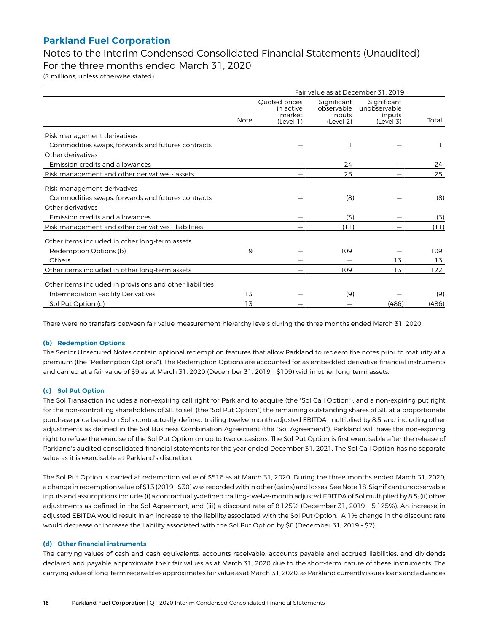### Notes to the Interim Condensed Consolidated Financial Statements (Unaudited) For the three months ended March 31, 2020

(\$ millions, unless otherwise stated)

|                                                                          | Fair value as at December 31, 2019 |                                                   |                                                  |                                                    |             |  |
|--------------------------------------------------------------------------|------------------------------------|---------------------------------------------------|--------------------------------------------------|----------------------------------------------------|-------------|--|
|                                                                          | <b>Note</b>                        | Quoted prices<br>in active<br>market<br>(Level 1) | Significant<br>observable<br>inputs<br>(Level 2) | Significant<br>unobservable<br>inputs<br>(Level 3) | Total       |  |
| Risk management derivatives                                              |                                    |                                                   |                                                  |                                                    |             |  |
| Commodities swaps, forwards and futures contracts                        |                                    |                                                   |                                                  |                                                    |             |  |
| Other derivatives                                                        |                                    |                                                   |                                                  |                                                    |             |  |
| Emission credits and allowances                                          |                                    |                                                   | 24                                               |                                                    | 24          |  |
| Risk management and other derivatives - assets                           |                                    |                                                   | 25                                               |                                                    | 25          |  |
| Risk management derivatives                                              |                                    |                                                   |                                                  |                                                    |             |  |
| Commodities swaps, forwards and futures contracts<br>Other derivatives   |                                    |                                                   | (8)                                              |                                                    | (8)         |  |
| Emission credits and allowances                                          |                                    |                                                   | (3)                                              |                                                    |             |  |
| Risk management and other derivatives - liabilities                      |                                    |                                                   | (11)                                             |                                                    | (3)<br>(11) |  |
| Other items included in other long-term assets<br>Redemption Options (b) | 9                                  |                                                   | 109                                              |                                                    | 109         |  |
| Others                                                                   |                                    |                                                   | 109                                              | 13<br>13                                           | 13<br>122   |  |
| Other items included in other long-term assets                           |                                    |                                                   |                                                  |                                                    |             |  |
| Other items included in provisions and other liabilities                 |                                    |                                                   |                                                  |                                                    |             |  |
| Intermediation Facility Derivatives                                      | 13                                 |                                                   | (9)                                              |                                                    | (9)         |  |
| Sol Put Option (c)                                                       | 13                                 |                                                   |                                                  | (486)                                              | (486)       |  |

There were no transfers between fair value measurement hierarchy levels during the three months ended March 31, 2020.

#### **(b) Redemption Options**

The Senior Unsecured Notes contain optional redemption features that allow Parkland to redeem the notes prior to maturity at a premium (the "Redemption Options"). The Redemption Options are accounted for as embedded derivative financial instruments and carried at a fair value of \$9 as at March 31, 2020 (December 31, 2019 - \$109) within other long-term assets.

#### **(c) Sol Put Option**

The Sol Transaction includes a non-expiring call right for Parkland to acquire (the "Sol Call Option"), and a non-expiring put right for the non-controlling shareholders of SIL to sell (the "Sol Put Option") the remaining outstanding shares of SIL at a proportionate purchase price based on Sol's contractually-defined trailing-twelve-month adjusted EBITDA, multiplied by 8.5, and including other adjustments as defined in the Sol Business Combination Agreement (the "Sol Agreement"). Parkland will have the non-expiring right to refuse the exercise of the Sol Put Option on up to two occasions. The Sol Put Option is first exercisable after the release of Parkland's audited consolidated financial statements for the year ended December 31, 2021. The Sol Call Option has no separate value as it is exercisable at Parkland's discretion.

The Sol Put Option is carried at redemption value of \$516 as at March 31, 2020. During the three months ended March 31, 2020, a change in redemption value of \$13 (2019 - \$30) was recorded within other (gains) and losses. See Note 18. Significant unobservable inputs and assumptions include: (i) a contractually defined trailing-twelve-month adjusted EBITDA of Sol multiplied by 8.5; (ii) other adjustments as defined in the Sol Agreement; and (iii) a discount rate of 8.125% (December 31, 2019 - 5.125%). An increase in adjusted EBITDA would result in an increase to the liability associated with the Sol Put Option. A 1% change in the discount rate would decrease or increase the liability associated with the Sol Put Option by \$6 (December 31, 2019 - \$7).

#### **(d) Other financial instruments**

The carrying values of cash and cash equivalents, accounts receivable, accounts payable and accrued liabilities, and dividends declared and payable approximate their fair values as at March 31, 2020 due to the short-term nature of these instruments. The carrying value of long-term receivables approximates fair value as at March 31, 2020, as Parkland currently issues loans and advances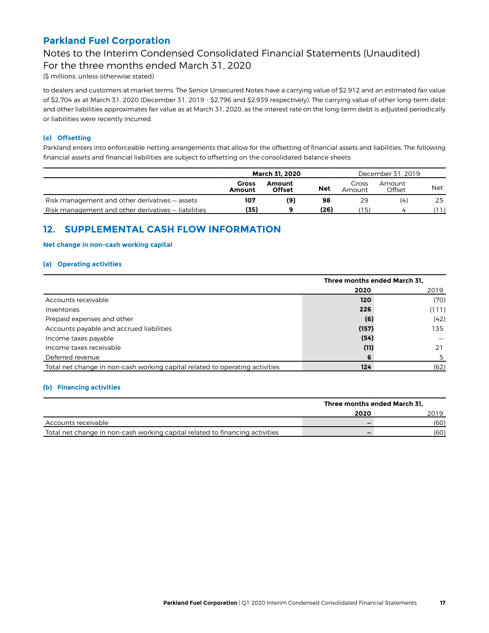## Notes to the Interim Condensed Consolidated Financial Statements (Unaudited)

For the three months ended March 31, 2020

(\$ millions, unless otherwise stated)

to dealers and customers at market terms. The Senior Unsecured Notes have a carrying value of \$2,912 and an estimated fair value of \$2,704 as at March 31, 2020 (December 31, 2019 - \$2,796 and \$2,939 respectively). The carrying value of other long-term debt and other liabilities approximates fair value as at March 31, 2020, as the interest rate on the long-term debt is adjusted periodically or liabilities were recently incurred.

#### **(e) Offsetting**

Parkland enters into enforceable netting arrangements that allow for the offsetting of financial assets and liabilities. The following financial assets and financial liabilities are subject to offsetting on the consolidated balance sheets:

|                                                     | <b>March 31, 2020</b> |                         |            |                 | December 31, 2019 |            |  |
|-----------------------------------------------------|-----------------------|-------------------------|------------|-----------------|-------------------|------------|--|
|                                                     | Gross<br>Amount       | Amount<br><b>Offset</b> | <b>Net</b> | Gross<br>Amount | Amount<br>Offset  | <b>Net</b> |  |
| Risk management and other derivatives – assets      | 107                   | (9)                     | 98         | 29              | (4)               | 25         |  |
| Risk management and other derivatives – liabilities | (35)                  |                         | (26)       | 15)             |                   |            |  |

### **12. SUPPLEMENTAL CASH FLOW INFORMATION**

#### **Net change in non-cash working capital**

#### **(a) Operating activities**

|                                                                              | Three months ended March 31, |       |
|------------------------------------------------------------------------------|------------------------------|-------|
|                                                                              | 2020                         | 2019  |
| Accounts receivable                                                          | 120                          | (70)  |
| Inventories                                                                  | 226                          | (111) |
| Prepaid expenses and other                                                   | (6)                          | (42)  |
| Accounts payable and accrued liabilities                                     | (157)                        | 135   |
| Income taxes payable                                                         | (54)                         |       |
| Income taxes receivable                                                      | (11)                         | 21    |
| Deferred revenue                                                             | 6                            |       |
| Total net change in non-cash working capital related to operating activities | 124                          | (62)  |

#### **(b) Financing activities**

|                                                                              | Three months ended March 31. |      |
|------------------------------------------------------------------------------|------------------------------|------|
|                                                                              | 2020                         | 2019 |
| Accounts receivable                                                          | -                            | (60) |
| Total net change in non-cash working capital related to financing activities | -                            | (60) |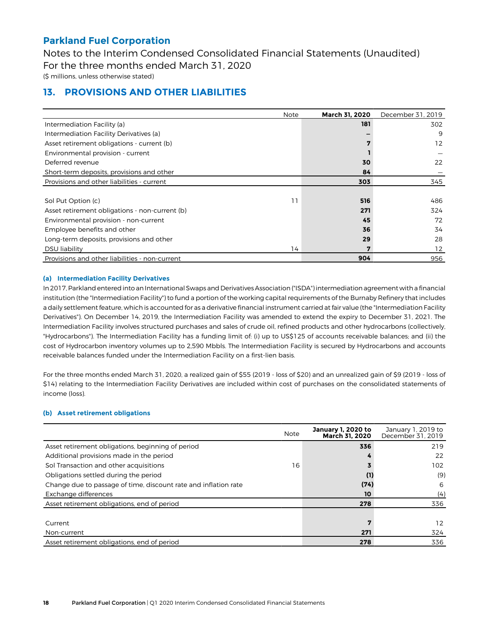Notes to the Interim Condensed Consolidated Financial Statements (Unaudited) For the three months ended March 31, 2020

(\$ millions, unless otherwise stated)

### **13. PROVISIONS AND OTHER LIABILITIES**

|                                                | <b>Note</b> | March 31, 2020 | December 31, 2019 |
|------------------------------------------------|-------------|----------------|-------------------|
| Intermediation Facility (a)                    |             | 181            | 302               |
| Intermediation Facility Derivatives (a)        |             |                | 9                 |
| Asset retirement obligations - current (b)     |             | 7              | 12                |
| Environmental provision - current              |             |                |                   |
| Deferred revenue                               |             | 30             | 22                |
| Short-term deposits, provisions and other      |             | 84             |                   |
| Provisions and other liabilities - current     |             | 303            | 345               |
|                                                |             |                |                   |
| Sol Put Option (c)                             | 11          | 516            | 486               |
| Asset retirement obligations - non-current (b) |             | 271            | 324               |
| Environmental provision - non-current          |             | 45             | 72                |
| Employee benefits and other                    |             | 36             | 34                |
| Long-term deposits, provisions and other       |             | 29             | 28                |
| <b>DSU</b> liability                           | 14          | 7              | 12                |
| Provisions and other liabilities - non-current |             | 904            | 956               |

#### **(a) Intermediation Facility Derivatives**

In 2017, Parkland entered into an International Swaps and Derivatives Association ("ISDA") intermediation agreement with a financial institution (the "Intermediation Facility") to fund a portion of the working capital requirements of the Burnaby Refinery that includes a daily settlement feature, which is accounted for as a derivative financial instrument carried at fair value (the "Intermediation Facility Derivatives"). On December 14, 2019, the Intermediation Facility was amended to extend the expiry to December 31, 2021. The Intermediation Facility involves structured purchases and sales of crude oil, refined products and other hydrocarbons (collectively, "Hydrocarbons"). The Intermediation Facility has a funding limit of: (i) up to US\$125 of accounts receivable balances; and (ii) the cost of Hydrocarbon inventory volumes up to 2,590 Mbbls. The Intermediation Facility is secured by Hydrocarbons and accounts receivable balances funded under the Intermediation Facility on a first-lien basis.

For the three months ended March 31, 2020, a realized gain of \$55 (2019 - loss of \$20) and an unrealized gain of \$9 (2019 - loss of \$14) relating to the Intermediation Facility Derivatives are included within cost of purchases on the consolidated statements of income (loss).

#### **(b) Asset retirement obligations**

|                                                                 | <b>Note</b> | January 1, 2020 to<br>March 31, 2020 | January 1, 2019 to<br>December 31, 2019 |
|-----------------------------------------------------------------|-------------|--------------------------------------|-----------------------------------------|
| Asset retirement obligations, beginning of period               |             | 336                                  | 219                                     |
| Additional provisions made in the period                        |             |                                      | 22                                      |
| Sol Transaction and other acquisitions                          | 16          |                                      | 102                                     |
| Obligations settled during the period                           |             | (1)                                  | (9)                                     |
| Change due to passage of time, discount rate and inflation rate |             | (74)                                 | 6                                       |
| Exchange differences                                            |             | 10                                   | (4)                                     |
| Asset retirement obligations, end of period                     |             | 278                                  | 336                                     |
|                                                                 |             |                                      |                                         |
| Current                                                         |             |                                      | 12                                      |
| Non-current                                                     |             | 271                                  | 324                                     |
| Asset retirement obligations, end of period                     |             | 278                                  | 336                                     |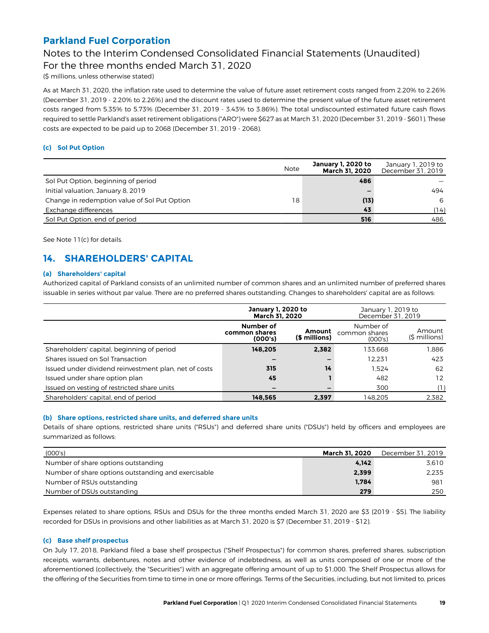## Notes to the Interim Condensed Consolidated Financial Statements (Unaudited)

For the three months ended March 31, 2020

(\$ millions, unless otherwise stated)

As at March 31, 2020, the inflation rate used to determine the value of future asset retirement costs ranged from 2.20% to 2.26% (December 31, 2019 - 2.20% to 2.26%) and the discount rates used to determine the present value of the future asset retirement costs ranged from 5.35% to 5.73% (December 31, 2019 - 3.43% to 3.86%). The total undiscounted estimated future cash flows required to settle Parkland's asset retirement obligations ("ARO") were \$627 as at March 31, 2020 (December 31, 2019 - \$601). These costs are expected to be paid up to 2068 (December 31, 2019 - 2068).

#### **(c) Sol Put Option**

|                                              | <b>Note</b> | January 1, 2020 to<br><b>March 31, 2020</b> | January 1, 2019 to<br>December 31, 2019 |
|----------------------------------------------|-------------|---------------------------------------------|-----------------------------------------|
| Sol Put Option, beginning of period          |             | 486                                         |                                         |
| Initial valuation, January 8, 2019           |             | -                                           | 494                                     |
| Change in redemption value of Sol Put Option | 18          | (13)                                        | 6                                       |
| Exchange differences                         |             | 43                                          | (14)                                    |
| Sol Put Option, end of period                |             | 516                                         | 486                                     |

See Note 11(c) for details.

## **14. SHAREHOLDERS' CAPITAL**

#### **(a) Shareholders' capital**

Authorized capital of Parkland consists of an unlimited number of common shares and an unlimited number of preferred shares issuable in series without par value. There are no preferred shares outstanding. Changes to shareholders' capital are as follows:

|                                                       | January 1, 2020 to<br>March 31, 2020  |                         | January 1, 2019 to<br>December 31, 2019 |                          |  |
|-------------------------------------------------------|---------------------------------------|-------------------------|-----------------------------------------|--------------------------|--|
|                                                       | Number of<br>common shares<br>(000's) | Amount<br>(\$ millions) | Number of<br>common shares<br>(000's)   | Amount<br>$(5 millions)$ |  |
| Shareholders' capital, beginning of period            | 148.205                               | 2.382                   | 133.668                                 | 1.886                    |  |
| Shares issued on Sol Transaction                      |                                       |                         | 12.231                                  | 423                      |  |
| Issued under dividend reinvestment plan, net of costs | 315                                   | 14                      | 1.524                                   | 62                       |  |
| Issued under share option plan                        | 45                                    |                         | 482                                     | 12                       |  |
| Issued on vesting of restricted share units           |                                       |                         | 300                                     |                          |  |
| Shareholders' capital, end of period                  | 148.565                               | 2.397                   | 148.205                                 | 2,382                    |  |

#### **(b) Share options, restricted share units, and deferred share units**

Details of share options, restricted share units ("RSUs") and deferred share units ("DSUs") held by officers and employees are summarized as follows:

| (000's)                                             | <b>March 31, 2020</b> | December 31, 2019 |
|-----------------------------------------------------|-----------------------|-------------------|
| Number of share options outstanding                 | 4.142                 | 3.610             |
| Number of share options outstanding and exercisable | 2,399                 | 2.235             |
| Number of RSUs outstanding                          | 1.784                 | 981               |
| Number of DSUs outstanding                          | 279                   | 250               |

Expenses related to share options, RSUs and DSUs for the three months ended March 31, 2020 are \$3 (2019 - \$5). The liability recorded for DSUs in provisions and other liabilities as at March 31, 2020 is \$7 (December 31, 2019 - \$12).

#### **(c) Base shelf prospectus**

On July 17, 2018, Parkland filed a base shelf prospectus ("Shelf Prospectus") for common shares, preferred shares, subscription receipts, warrants, debentures, notes and other evidence of indebtedness, as well as units composed of one or more of the aforementioned (collectively, the "Securities") with an aggregate offering amount of up to \$1,000. The Shelf Prospectus allows for the offering of the Securities from time to time in one or more offerings. Terms of the Securities, including, but not limited to, prices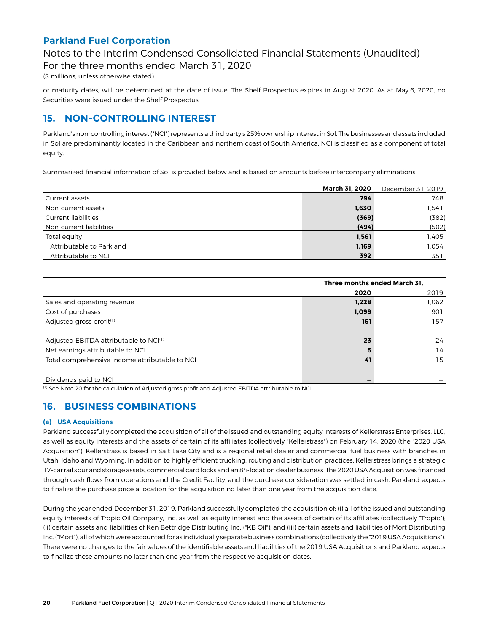### Notes to the Interim Condensed Consolidated Financial Statements (Unaudited)

For the three months ended March 31, 2020

(\$ millions, unless otherwise stated)

or maturity dates, will be determined at the date of issue. The Shelf Prospectus expires in August 2020. As at May 6, 2020, no Securities were issued under the Shelf Prospectus.

### **15. NON-CONTROLLING INTEREST**

Parkland's non-controlling interest ("NCI") represents a third party's 25% ownership interest in Sol. The businesses and assets included in Sol are predominantly located in the Caribbean and northern coast of South America. NCI is classified as a component of total equity.

Summarized financial information of Sol is provided below and is based on amounts before intercompany eliminations.

|                          | <b>March 31, 2020</b> | December 31, 2019 |
|--------------------------|-----------------------|-------------------|
| Current assets           | 794                   | 748               |
| Non-current assets       | 1,630                 | 1,541             |
| Current liabilities      | (369)                 | (382)             |
| Non-current liabilities  | (494)                 | (502)             |
| Total equity             | 1,561                 | 1.405             |
| Attributable to Parkland | 1,169                 | 1.054             |
| Attributable to NCI      | 392                   | 351               |

|                                                    | Three months ended March 31, |       |  |  |
|----------------------------------------------------|------------------------------|-------|--|--|
|                                                    | 2020                         | 2019  |  |  |
| Sales and operating revenue                        | 1,228                        | 1,062 |  |  |
| Cost of purchases                                  | 1,099                        | 901   |  |  |
| Adjusted gross profit <sup>(1)</sup>               | 161                          | 157   |  |  |
| Adjusted EBITDA attributable to NCI <sup>(1)</sup> | 23                           | 24    |  |  |
| Net earnings attributable to NCI                   | 5                            | 14    |  |  |
| Total comprehensive income attributable to NCI     | 41                           | 15    |  |  |
| Dividends paid to NCI                              |                              |       |  |  |

(1) See Note 20 for the calculation of Adjusted gross profit and Adjusted EBITDA attributable to NCI.

## **16. BUSINESS COMBINATIONS**

#### **(a) USA Acquisitions**

Parkland successfully completed the acquisition of all of the issued and outstanding equity interests of Kellerstrass Enterprises, LLC, as well as equity interests and the assets of certain of its affiliates (collectively "Kellerstrass") on February 14, 2020 (the "2020 USA Acquisition"). Kellerstrass is based in Salt Lake City and is a regional retail dealer and commercial fuel business with branches in Utah, Idaho and Wyoming. In addition to highly efficient trucking, routing and distribution practices, Kellerstrass brings a strategic 17-car rail spur and storage assets, commercial card locks and an 84-location dealer business. The 2020 USA Acquisition was financed through cash flows from operations and the Credit Facility, and the purchase consideration was settled in cash. Parkland expects to finalize the purchase price allocation for the acquisition no later than one year from the acquisition date.

During the year ended December 31, 2019, Parkland successfully completed the acquisition of: (i) all of the issued and outstanding equity interests of Tropic Oil Company, Inc. as well as equity interest and the assets of certain of its affiliates (collectively "Tropic"); (ii) certain assets and liabilities of Ken Bettridge Distributing Inc. ("KB Oil"); and (iii) certain assets and liabilities of Mort Distributing Inc. ("Mort"), all of which were accounted for as individually separate business combinations (collectively the "2019 USA Acquisitions"). There were no changes to the fair values of the identifiable assets and liabilities of the 2019 USA Acquisitions and Parkland expects to finalize these amounts no later than one year from the respective acquisition dates.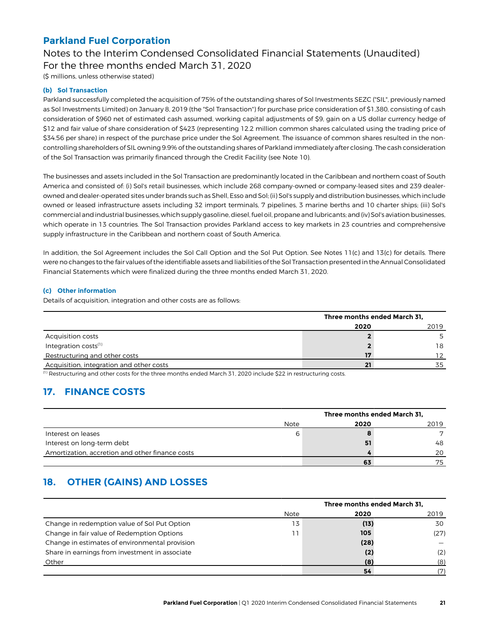### Notes to the Interim Condensed Consolidated Financial Statements (Unaudited) For the three months ended March 31, 2020

(\$ millions, unless otherwise stated)

#### **(b) Sol Transaction**

Parkland successfully completed the acquisition of 75% of the outstanding shares of Sol Investments SEZC ("SIL", previously named as Sol Investments Limited) on January 8, 2019 (the "Sol Transaction") for purchase price consideration of \$1,380, consisting of cash consideration of \$960 net of estimated cash assumed, working capital adjustments of \$9, gain on a US dollar currency hedge of \$12 and fair value of share consideration of \$423 (representing 12.2 million common shares calculated using the trading price of \$34.56 per share) in respect of the purchase price under the Sol Agreement. The issuance of common shares resulted in the noncontrolling shareholders of SIL owning 9.9% of the outstanding shares of Parkland immediately after closing. The cash consideration of the Sol Transaction was primarily financed through the Credit Facility (see Note 10).

The businesses and assets included in the Sol Transaction are predominantly located in the Caribbean and northern coast of South America and consisted of: (i) Sol's retail businesses, which include 268 company-owned or company-leased sites and 239 dealerowned and dealer-operated sites under brands such as Shell, Esso and Sol; (ii) Sol's supply and distribution businesses, which include owned or leased infrastructure assets including 32 import terminals, 7 pipelines, 3 marine berths and 10 charter ships; (iii) Sol's commercial and industrial businesses, which supply gasoline, diesel, fuel oil, propane and lubricants; and (iv) Sol's aviation businesses, which operate in 13 countries. The Sol Transaction provides Parkland access to key markets in 23 countries and comprehensive supply infrastructure in the Caribbean and northern coast of South America.

In addition, the Sol Agreement includes the Sol Call Option and the Sol Put Option. See Notes 11(c) and 13(c) for details. There were no changes to the fair values of the identifiable assets and liabilities of the Sol Transaction presented in the Annual Consolidated Financial Statements which were finalized during the three months ended March 31, 2020.

#### **(c) Other information**

Details of acquisition, integration and other costs are as follows:

|                                          | Three months ended March 31, |      |  |  |
|------------------------------------------|------------------------------|------|--|--|
|                                          | 2020                         | 2019 |  |  |
| Acquisition costs                        |                              |      |  |  |
| Integration costs <sup>(1)</sup>         |                              | 18   |  |  |
| Restructuring and other costs            | 17                           |      |  |  |
| Acquisition, integration and other costs | 21                           | 35   |  |  |

(1) Restructuring and other costs for the three months ended March 31, 2020 include \$22 in restructuring costs.

### **17. FINANCE COSTS**

|                                                 | Three months ended March 31, |              |  |  |  |
|-------------------------------------------------|------------------------------|--------------|--|--|--|
| Note                                            | 2020                         | 2019         |  |  |  |
| Interest on leases<br>h                         | 8                            | $\mathbf{r}$ |  |  |  |
| Interest on long-term debt                      | 51                           | 48           |  |  |  |
| Amortization, accretion and other finance costs |                              | 20           |  |  |  |
|                                                 | 63                           | 75           |  |  |  |

## **18. OTHER (GAINS) AND LOSSES**

|                                                |      | Three months ended March 31, |      |  |  |  |
|------------------------------------------------|------|------------------------------|------|--|--|--|
|                                                | Note | 2020                         | 2019 |  |  |  |
| Change in redemption value of Sol Put Option   | 13   | (13)                         | 30   |  |  |  |
| Change in fair value of Redemption Options     |      | 105                          | (27) |  |  |  |
| Change in estimates of environmental provision |      | (28)                         |      |  |  |  |
| Share in earnings from investment in associate |      | (2)                          | (2)  |  |  |  |
| Other                                          |      | (8)                          | (8)  |  |  |  |
|                                                |      | 54                           |      |  |  |  |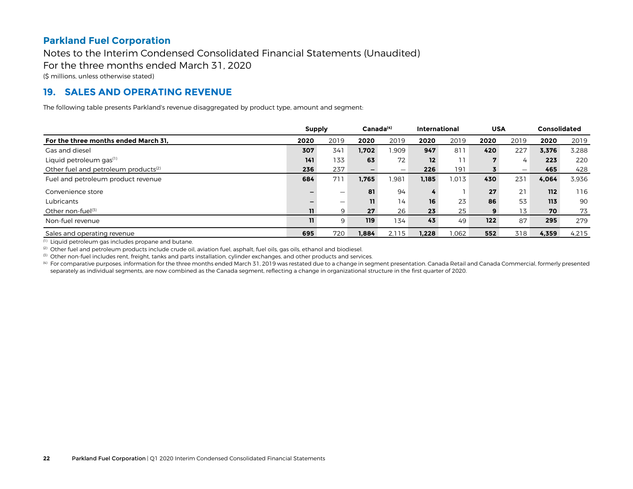### Notes to the Interim Condensed Consolidated Financial Statements (Unaudited)

For the three months ended March 31, 2020

(\$ millions, unless otherwise stated)

### **19. SALES AND OPERATING REVENUE**

The following table presents Parkland's revenue disaggregated by product type, amount and segment:

|                                                  |      | <b>Supply</b> |       |                          |                 |       |      | Canada <sup>(4)</sup> |       |       |  | <b>International</b> |  |  | <b>USA</b> |  | Consolidated |  |
|--------------------------------------------------|------|---------------|-------|--------------------------|-----------------|-------|------|-----------------------|-------|-------|--|----------------------|--|--|------------|--|--------------|--|
| For the three months ended March 31.             | 2020 | 2019          | 2020  | 2019                     | 2020            | 2019  | 2020 | 2019                  | 2020  | 2019  |  |                      |  |  |            |  |              |  |
| Gas and diesel                                   | 307  | 341           | 1.702 | .909                     | 947             | 811   | 420  | 227                   | 3.376 | 3.288 |  |                      |  |  |            |  |              |  |
| Liquid petroleum gas <sup>(1)</sup>              | 141  | 133           | 63    | 72                       | 12 <sup>°</sup> | 11    |      | 4                     | 223   | 220   |  |                      |  |  |            |  |              |  |
| Other fuel and petroleum products <sup>(2)</sup> | 236  | 237           | -     | $\overline{\phantom{m}}$ | 226             | 191   |      | $\qquad \qquad$       | 465   | 428   |  |                      |  |  |            |  |              |  |
| Fuel and petroleum product revenue               | 684  | 711           | 1,765 | .981                     | 1.185           | 1.013 | 430  | 231                   | 4,064 | 3.936 |  |                      |  |  |            |  |              |  |
| Convenience store                                |      |               | 81    | 94                       | 4               |       | 27   | 21                    | 112   | 116   |  |                      |  |  |            |  |              |  |
| Lubricants                                       |      |               | 11    | 14                       | 16              | 23    | 86   | 53                    | 113   | 90    |  |                      |  |  |            |  |              |  |
| Other non-fuel $(3)$                             | 11   | 9             | 27    | 26                       | 23 <sub>2</sub> | 25    | 9    | 13                    | 70    | 73    |  |                      |  |  |            |  |              |  |
| Non-fuel revenue                                 | 11   | 9             | 119   | 134 <sub>1</sub>         | 43              | 49    | 122  | 87                    | 295   | 279   |  |                      |  |  |            |  |              |  |
| Sales and operating revenue                      | 695  | 720           | 1.884 | 2.115                    | 1.228           | 1.062 | 552  | 318                   | 4.359 | 4.215 |  |                      |  |  |            |  |              |  |

(1) Liquid petroleum gas includes propane and butane.

(2) Other fuel and petroleum products include crude oil, aviation fuel, asphalt, fuel oils, gas oils, ethanol and biodiesel.

<sup>(3)</sup> Other non-fuel includes rent, freight, tanks and parts installation, cylinder exchanges, and other products and services.

<sup>(4)</sup> For comparative purposes, information for the three months ended March 31, 2019 was restated due to a change in segment presentation. Canada Retail and Canada Commercial, formerly presented separately as individual segments, are now combined as the Canada segment, reflecting a change in organizational structure in the first quarter of 2020.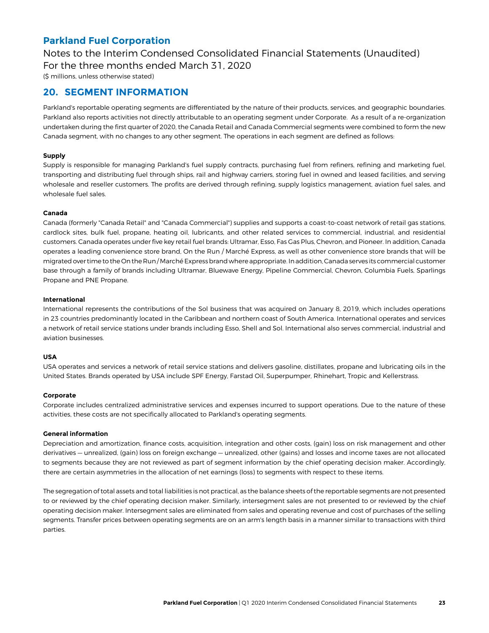Notes to the Interim Condensed Consolidated Financial Statements (Unaudited) For the three months ended March 31, 2020

(\$ millions, unless otherwise stated)

### **20. SEGMENT INFORMATION**

Parkland's reportable operating segments are differentiated by the nature of their products, services, and geographic boundaries. Parkland also reports activities not directly attributable to an operating segment under Corporate. As a result of a re-organization undertaken during the first quarter of 2020, the Canada Retail and Canada Commercial segments were combined to form the new Canada segment, with no changes to any other segment. The operations in each segment are defined as follows:

#### **Supply**

Supply is responsible for managing Parkland's fuel supply contracts, purchasing fuel from refiners, refining and marketing fuel, transporting and distributing fuel through ships, rail and highway carriers, storing fuel in owned and leased facilities, and serving wholesale and reseller customers. The profits are derived through refining, supply logistics management, aviation fuel sales, and wholesale fuel sales.

#### **Canada**

Canada (formerly "Canada Retail" and "Canada Commercial") supplies and supports a coast-to-coast network of retail gas stations, cardlock sites, bulk fuel, propane, heating oil, lubricants, and other related services to commercial, industrial, and residential customers. Canada operates under five key retail fuel brands: Ultramar, Esso, Fas Gas Plus, Chevron, and Pioneer. In addition, Canada operates a leading convenience store brand, On the Run / Marché Express, as well as other convenience store brands that will be migrated over time to the On the Run / Marché Express brand where appropriate. In addition, Canada serves its commercial customer base through a family of brands including Ultramar, Bluewave Energy, Pipeline Commercial, Chevron, Columbia Fuels, Sparlings Propane and PNE Propane.

#### **International**

International represents the contributions of the Sol business that was acquired on January 8, 2019, which includes operations in 23 countries predominantly located in the Caribbean and northern coast of South America. International operates and services a network of retail service stations under brands including Esso, Shell and Sol. International also serves commercial, industrial and aviation businesses.

#### **USA**

USA operates and services a network of retail service stations and delivers gasoline, distillates, propane and lubricating oils in the United States. Brands operated by USA include SPF Energy, Farstad Oil, Superpumper, Rhinehart, Tropic and Kellerstrass.

#### **Corporate**

Corporate includes centralized administrative services and expenses incurred to support operations. Due to the nature of these activities, these costs are not specifically allocated to Parkland's operating segments.

#### **General information**

Depreciation and amortization, finance costs, acquisition, integration and other costs, (gain) loss on risk management and other derivatives — unrealized, (gain) loss on foreign exchange — unrealized, other (gains) and losses and income taxes are not allocated to segments because they are not reviewed as part of segment information by the chief operating decision maker. Accordingly, there are certain asymmetries in the allocation of net earnings (loss) to segments with respect to these items.

The segregation of total assets and total liabilities is not practical, as the balance sheets of the reportable segments are not presented to or reviewed by the chief operating decision maker. Similarly, intersegment sales are not presented to or reviewed by the chief operating decision maker. Intersegment sales are eliminated from sales and operating revenue and cost of purchases of the selling segments. Transfer prices between operating segments are on an arm's length basis in a manner similar to transactions with third parties.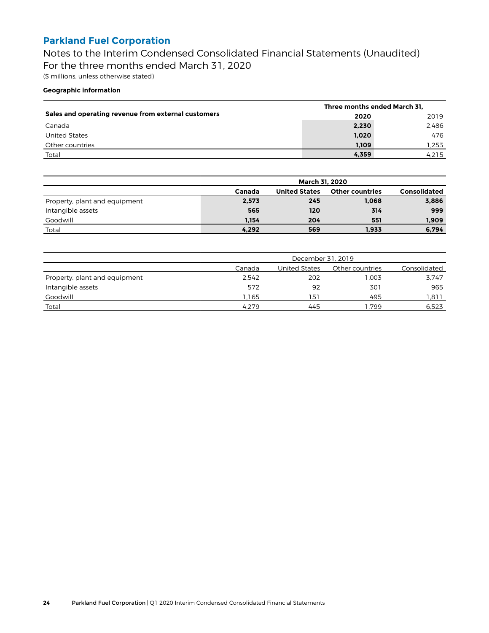Notes to the Interim Condensed Consolidated Financial Statements (Unaudited) For the three months ended March 31, 2020 (\$ millions, unless otherwise stated)

#### **Geographic information**

|                                                     | Three months ended March 31, |       |
|-----------------------------------------------------|------------------------------|-------|
| Sales and operating revenue from external customers | 2020                         | 2019  |
| Canada                                              | 2,230                        | 2.486 |
| United States                                       | 1.020                        | 476   |
| Other countries                                     | 1,109                        | 1.253 |
| Total                                               | 4,359                        | 4.215 |

|                               | <b>March 31, 2020</b> |                      |                        |                     |  |  |  |  |
|-------------------------------|-----------------------|----------------------|------------------------|---------------------|--|--|--|--|
|                               | Canada                | <b>United States</b> | <b>Other countries</b> | <b>Consolidated</b> |  |  |  |  |
| Property, plant and equipment | 2,573                 | 245                  | 1,068                  | 3,886               |  |  |  |  |
| Intangible assets             | 565                   | 120                  | 314                    | 999                 |  |  |  |  |
| Goodwill                      | 1.154                 | 204                  | 551                    | 1,909               |  |  |  |  |
| Total                         | 4,292                 | 569                  | 1,933                  | 6,794               |  |  |  |  |

|                               | December 31, 2019 |               |                 |              |  |  |  |  |
|-------------------------------|-------------------|---------------|-----------------|--------------|--|--|--|--|
|                               | Canada            | United States | Other countries | Consolidated |  |  |  |  |
| Property, plant and equipment | 2.542             | 202           | 1.003           | 3.747        |  |  |  |  |
| Intangible assets             | 572               | 92            | 301             | 965          |  |  |  |  |
| Goodwill                      | 1.165             | 151           | 495             | 1.811        |  |  |  |  |
| Total                         | 4.279             | 445           | .799            | 6,523        |  |  |  |  |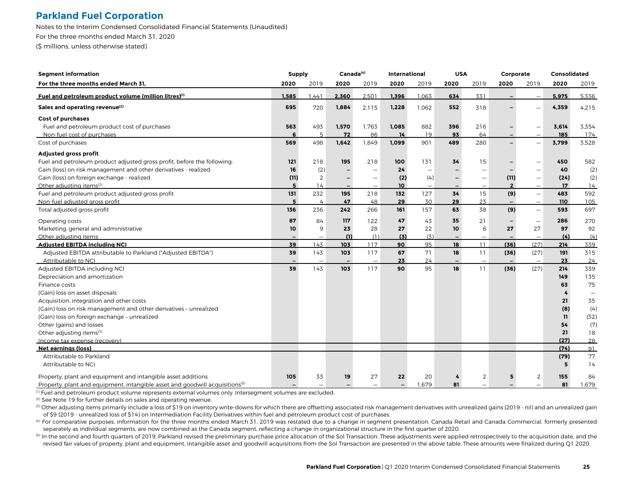Notes to the Interim Condensed Consolidated Financial Statements (Unaudited) For the three months ended March 31, 2020

(\$ millions, unless otherwise stated)

| <b>Segment information</b>                                                               | <b>Supply</b>            |                          | Canada <sup>(4)</sup>    |                          | <b>International</b>     |                          | <b>USA</b>               |                          | Corporate               |                          | <b>Consolidated</b> |       |
|------------------------------------------------------------------------------------------|--------------------------|--------------------------|--------------------------|--------------------------|--------------------------|--------------------------|--------------------------|--------------------------|-------------------------|--------------------------|---------------------|-------|
| For the three months ended March 31,                                                     | 2020                     | 2019                     | 2020                     | 2019                     | 2020                     | 2019                     | 2020                     | 2019                     | 2020                    | 2019                     | 2020                | 2019  |
| Fuel and petroleum product volume (million litres) <sup>(1)</sup>                        | 1.585                    | .441                     | 2,360                    | 2.501                    | 1.396                    | 1.063                    | 634                      | 331                      |                         |                          | 5.975               | 5.336 |
| Sales and operating revenue <sup>(2)</sup>                                               | 695                      | 720                      | 1,884                    | 2.115                    | 1,228                    | 1.062                    | 552                      | 318                      |                         |                          | 4,359               | 4.215 |
| Cost of purchases                                                                        |                          |                          |                          |                          |                          |                          |                          |                          |                         |                          |                     |       |
| Fuel and petroleum product cost of purchases                                             | 563                      | 493                      | 1,570                    | 1,763                    | 1,085                    | 882                      | 396                      | 216                      |                         | -                        | 3,614               | 3,354 |
| Non-fuel cost of purchases                                                               |                          |                          | 72                       | 86                       | 14                       | 19                       | 93                       | 64                       |                         |                          | 185                 | 174   |
| Cost of purchases                                                                        | 569                      | 498                      | 1,642                    | 1,849                    | 1,099                    | 901                      | 489                      | 280                      |                         |                          | 3,799               | 3,528 |
| Adjusted gross profit                                                                    |                          |                          |                          |                          |                          |                          |                          |                          |                         |                          |                     |       |
| Fuel and petroleum product adjusted gross profit, before the following:                  | 121                      | 218                      | 195                      | 218                      | 100                      | 131                      | 34                       | 15                       |                         |                          | 450                 | 582   |
| Gain (loss) on risk management and other derivatives - realized                          | 16                       | (2)                      |                          | $\overline{\phantom{0}}$ | 24                       | $\overline{\phantom{0}}$ |                          | ÷                        |                         |                          | 40                  | (2)   |
| Gain (loss) on foreign exchange - realized                                               | (11)                     | 2                        | -                        | $\overline{\phantom{0}}$ | (2)                      | (4)                      | -                        |                          | (11)                    | $\overline{\phantom{0}}$ | (24)                | (2)   |
| Other adjusting items <sup>(3)</sup>                                                     | 5                        | 14                       |                          |                          | 10                       |                          |                          |                          | $\overline{\mathbf{z}}$ |                          | 17                  | 14    |
| Fuel and petroleum product adjusted gross profit                                         | 131                      | 232                      | 195                      | 218                      | 132                      | 127                      | 34                       | 15                       | (9)                     | $\overline{\phantom{0}}$ | 483                 | 592   |
| Non-fuel adjusted gross profit                                                           | 5                        | 4                        | 47                       | 48                       | 29                       | 30                       | 29                       | 23                       |                         |                          | 110                 | 105   |
| Total adjusted gross profit                                                              | 136                      | 236                      | 242                      | 266                      | 161                      | 157                      | 63                       | 38                       | (9)                     | $\overline{\phantom{0}}$ | 593                 | 697   |
| Operating costs                                                                          | 87                       | 84                       | 117                      | 122                      | 47                       | 43                       | 35                       | 21                       |                         | $\overline{\phantom{0}}$ | 286                 | 270   |
| Marketing, general and administrative                                                    | 10                       | 9                        | 23                       | 28                       | 27                       | 22                       | 10                       | 6                        | 27                      | 27                       | 97                  | 92    |
| Other adjusting items                                                                    |                          |                          | (1)                      | (1)                      | (3)                      | (3)                      |                          | Ē,                       |                         | $\overline{\phantom{0}}$ | (4)                 | (4)   |
| <b>Adjusted EBITDA including NCI</b>                                                     | 39                       | 143                      | 103                      | 117                      | 90                       | 95                       | 18                       | 11                       | (36)                    | (27)                     | 214                 | 339   |
| Adjusted EBITDA attributable to Parkland ("Adjusted EBITDA")                             | 39                       | 143                      | 103                      | 117                      | 67                       | 71                       | 18                       | 11                       | (36)                    | (27)                     | 191                 | 315   |
| Attributable to NCI                                                                      | $\overline{\phantom{0}}$ | $\overline{\phantom{0}}$ | $\overline{\phantom{a}}$ | $\overline{\phantom{0}}$ | 23                       | 24                       | $\overline{\phantom{a}}$ | $\overline{\phantom{0}}$ |                         | $\overline{\phantom{a}}$ | 23                  | 24    |
| Adjusted EBITDA including NCI                                                            | 39                       | 143                      | 103                      | 117                      | 90                       | 95                       | 18                       | 11                       | (36)                    | (27)                     | 214                 | 339   |
| Depreciation and amortization                                                            |                          |                          |                          |                          |                          |                          |                          |                          |                         |                          | 149                 | 135   |
| Finance costs                                                                            |                          |                          |                          |                          |                          |                          |                          |                          |                         |                          | 63                  | 75    |
| (Gain) loss on asset disposals                                                           |                          |                          |                          |                          |                          |                          |                          |                          |                         |                          | 4                   |       |
| Acquisition, integration and other costs                                                 |                          |                          |                          |                          |                          |                          |                          |                          |                         |                          | 21                  | 35    |
| (Gain) loss on risk management and other derivatives - unrealized                        |                          |                          |                          |                          |                          |                          |                          |                          |                         |                          | (8)                 | (4)   |
| (Gain) loss on foreign exchange - unrealized                                             |                          |                          |                          |                          |                          |                          |                          |                          |                         |                          | 11                  | (32)  |
| Other (gains) and losses                                                                 |                          |                          |                          |                          |                          |                          |                          |                          |                         |                          | 54                  | (7)   |
| Other adjusting items <sup>(3)</sup>                                                     |                          |                          |                          |                          |                          |                          |                          |                          |                         |                          | 21                  | 18    |
| Income tax expense (recovery)                                                            |                          |                          |                          |                          |                          |                          |                          |                          |                         |                          | (27)                | 28    |
| <b>Net earnings (loss)</b>                                                               |                          |                          |                          |                          |                          |                          |                          |                          |                         |                          | (74)                | 91    |
| Attributable to Parkland                                                                 |                          |                          |                          |                          |                          |                          |                          |                          |                         |                          | (79)                | 77    |
| Attributable to NCI                                                                      |                          |                          |                          |                          |                          |                          |                          |                          |                         |                          | 5                   | 14    |
| Property, plant and equipment and intangible asset additions                             | 105                      | 33                       | 19                       | 27                       | 22                       | 20                       |                          | $\overline{2}$           | 5                       | $\overline{2}$           | 155                 | 84    |
| Property, plant and equipment, intangible asset and goodwill acquisitions <sup>(5)</sup> |                          |                          | $\equiv$                 |                          | $\overline{\phantom{0}}$ | 1,679                    | 81                       |                          |                         |                          | 81                  | 1,679 |

(1) Fuel and petroleum product volume represents external volumes only. Intersegment volumes are excluded.

(2) See Note 19 for further details on sales and operating revenue.

<sup>(3)</sup> Other adjusting items primarily include a loss of \$19 on inventory write-downs for which there are offsetting associated risk management derivatives with unrealized gains (2019 - nil) and an unrealized gain of \$9 (2019 - unrealized loss of \$14) on Intermediation Facility Derivatives within fuel and petroleum product cost of purchases.

<sup>(4)</sup> For comparative purposes, information for the three months ended March 31, 2019 was restated due to a change in segment presentation. Canada Retail and Canada Commercial, formerly presented separately as individual segments, are now combined as the Canada segment, reflecting a change in organizational structure in the first quarter of 2020.

<sup>(5)</sup> In the second and fourth quarters of 2019, Parkland revised the preliminary purchase price allocation of the Sol Transaction. These adjustments were applied retrospectively to the acquisition date, and the revised fair values of property, plant and equipment, intangible asset and goodwill acquisitions from the Sol Transaction are presented in the above table. These amounts were finalized during Q1 2020.